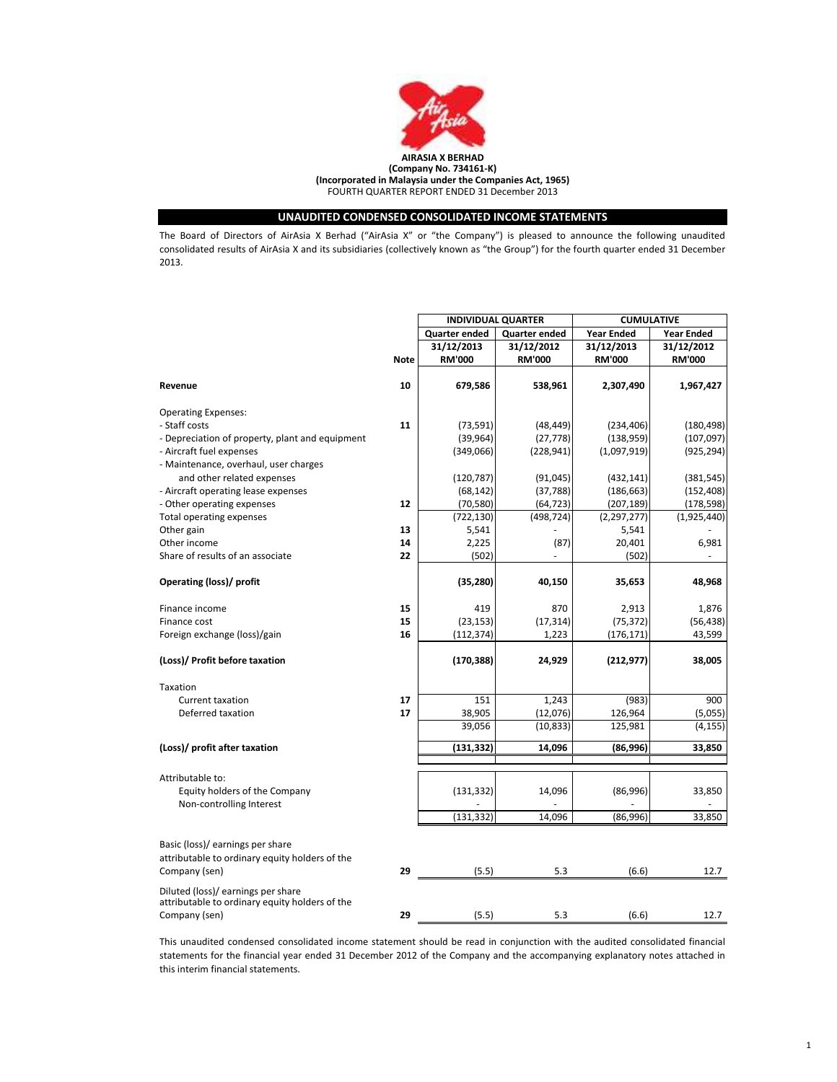

## UNAUDITED CONDENSED CONSOLIDATED INCOME STATEMENTS

The Board of Directors of AirAsia X Berhad ("AirAsia X" or "the Company") is pleased to announce the following unaudited consolidated results of AirAsia X and its subsidiaries (collectively known as "the Group") for the fourth quarter ended 31 December 2013.

|                                                 |             | <b>INDIVIDUAL QUARTER</b> |               | <b>CUMULATIVE</b> |                   |
|-------------------------------------------------|-------------|---------------------------|---------------|-------------------|-------------------|
|                                                 |             | <b>Quarter ended</b>      | Quarter ended | <b>Year Ended</b> | <b>Year Ended</b> |
|                                                 |             | 31/12/2013                | 31/12/2012    | 31/12/2013        | 31/12/2012        |
|                                                 | <b>Note</b> | <b>RM'000</b>             | <b>RM'000</b> | <b>RM'000</b>     | <b>RM'000</b>     |
|                                                 |             |                           |               |                   |                   |
| Revenue                                         | 10          | 679,586                   | 538,961       | 2,307,490         | 1,967,427         |
| <b>Operating Expenses:</b>                      |             |                           |               |                   |                   |
| - Staff costs                                   | 11          | (73, 591)                 | (48, 449)     | (234, 406)        | (180, 498)        |
| - Depreciation of property, plant and equipment |             | (39, 964)                 | (27, 778)     | (138, 959)        | (107, 097)        |
| - Aircraft fuel expenses                        |             | (349,066)                 | (228, 941)    | (1,097,919)       | (925, 294)        |
| - Maintenance, overhaul, user charges           |             |                           |               |                   |                   |
| and other related expenses                      |             | (120, 787)                | (91, 045)     | (432, 141)        | (381, 545)        |
| - Aircraft operating lease expenses             |             | (68, 142)                 | (37, 788)     | (186, 663)        | (152, 408)        |
| - Other operating expenses                      | 12          | (70, 580)                 | (64, 723)     | (207, 189)        | (178, 598)        |
| <b>Total operating expenses</b>                 |             | (722, 130)                | (498, 724)    | (2, 297, 277)     | (1,925,440)       |
| Other gain                                      | 13          | 5,541                     |               | 5,541             |                   |
| Other income                                    | 14          | 2,225                     | (87)          | 20,401            | 6,981             |
| Share of results of an associate                | 22          | (502)                     |               | (502)             |                   |
| Operating (loss)/ profit                        |             | (35, 280)                 | 40,150        | 35,653            | 48,968            |
| Finance income                                  | 15          | 419                       | 870           | 2,913             | 1,876             |
| Finance cost                                    | 15          | (23, 153)                 | (17, 314)     | (75, 372)         | (56, 438)         |
| Foreign exchange (loss)/gain                    | 16          | (112, 374)                | 1,223         | (176, 171)        | 43,599            |
| (Loss)/ Profit before taxation                  |             | (170, 388)                | 24,929        | (212, 977)        | 38,005            |
| Taxation                                        |             |                           |               |                   |                   |
| <b>Current taxation</b>                         | 17          | 151                       | 1,243         | (983)             | 900               |
| Deferred taxation                               | 17          | 38,905                    | (12,076)      | 126,964           | (5,055)           |
|                                                 |             | 39,056                    | (10, 833)     | 125,981           | (4, 155)          |
| (Loss)/ profit after taxation                   |             | (131,332)                 | 14,096        | (86,996)          | 33,850            |
|                                                 |             |                           |               |                   |                   |
| Attributable to:                                |             |                           |               |                   |                   |
| Equity holders of the Company                   |             | (131, 332)                | 14,096        | (86,996)          | 33,850            |
| Non-controlling Interest                        |             |                           |               |                   |                   |
|                                                 |             | (131, 332)                | 14,096        | (86,996)          | 33,850            |
| Basic (loss)/ earnings per share                |             |                           |               |                   |                   |
| attributable to ordinary equity holders of the  |             |                           |               |                   |                   |
| Company (sen)                                   | 29          | (5.5)                     | 5.3           | (6.6)             | 12.7              |
| Diluted (loss)/ earnings per share              |             |                           |               |                   |                   |
| attributable to ordinary equity holders of the  |             |                           |               |                   |                   |
| Company (sen)                                   | 29          | (5.5)                     | 5.3           | (6.6)             | 12.7              |

This unaudited condensed consolidated income statement should be read in conjunction with the audited consolidated financial statements for the financial year ended 31 December 2012 of the Company and the accompanying explanatory notes attached in this interim financial statements.

1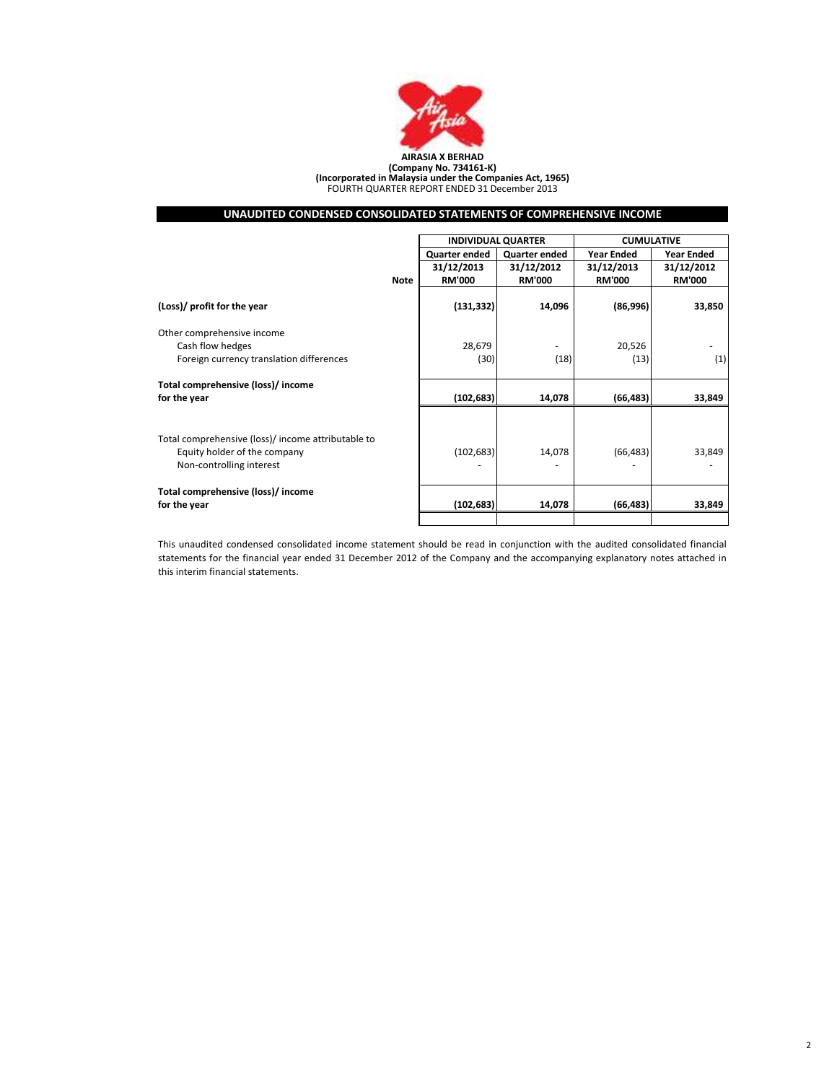

(Company No. 734161-K) (Incorporated in Malaysia under the Companies Act, 1965) FOURTH QUARTER REPORT ENDED 31 December 2013

## UNAUDITED CONDENSED CONSOLIDATED STATEMENTS OF COMPREHENSIVE INCOME

|                                                                                    |             |               | <b>INDIVIDUAL QUARTER</b> | <b>CUMULATIVE</b> |                   |  |
|------------------------------------------------------------------------------------|-------------|---------------|---------------------------|-------------------|-------------------|--|
|                                                                                    |             | Quarter ended | Quarter ended             | <b>Year Ended</b> | <b>Year Ended</b> |  |
|                                                                                    |             | 31/12/2013    | 31/12/2012                | 31/12/2013        | 31/12/2012        |  |
|                                                                                    | <b>Note</b> | <b>RM'000</b> | <b>RM'000</b>             | <b>RM'000</b>     | <b>RM'000</b>     |  |
| (Loss)/ profit for the year                                                        |             | (131, 332)    | 14,096                    | (86,996)          | 33,850            |  |
| Other comprehensive income                                                         |             |               |                           |                   |                   |  |
| Cash flow hedges                                                                   |             | 28,679        | ۰                         | 20,526            |                   |  |
| Foreign currency translation differences                                           |             | (30)          | (18)                      | (13)              | (1)               |  |
| Total comprehensive (loss)/ income                                                 |             |               |                           |                   |                   |  |
| for the year                                                                       |             | (102, 683)    | 14,078                    | (66, 483)         | 33,849            |  |
| Total comprehensive (loss)/ income attributable to<br>Equity holder of the company |             | (102, 683)    | 14,078                    | (66, 483)         | 33,849            |  |
| Non-controlling interest                                                           |             |               |                           |                   |                   |  |
| Total comprehensive (loss)/ income<br>for the year                                 |             | (102, 683)    | 14,078                    | (66, 483)         | 33,849            |  |
|                                                                                    |             |               |                           |                   |                   |  |

This unaudited condensed consolidated income statement should be read in conjunction with the audited consolidated financial statements for the financial year ended 31 December 2012 of the Company and the accompanying explanatory notes attached in this interim financial statements.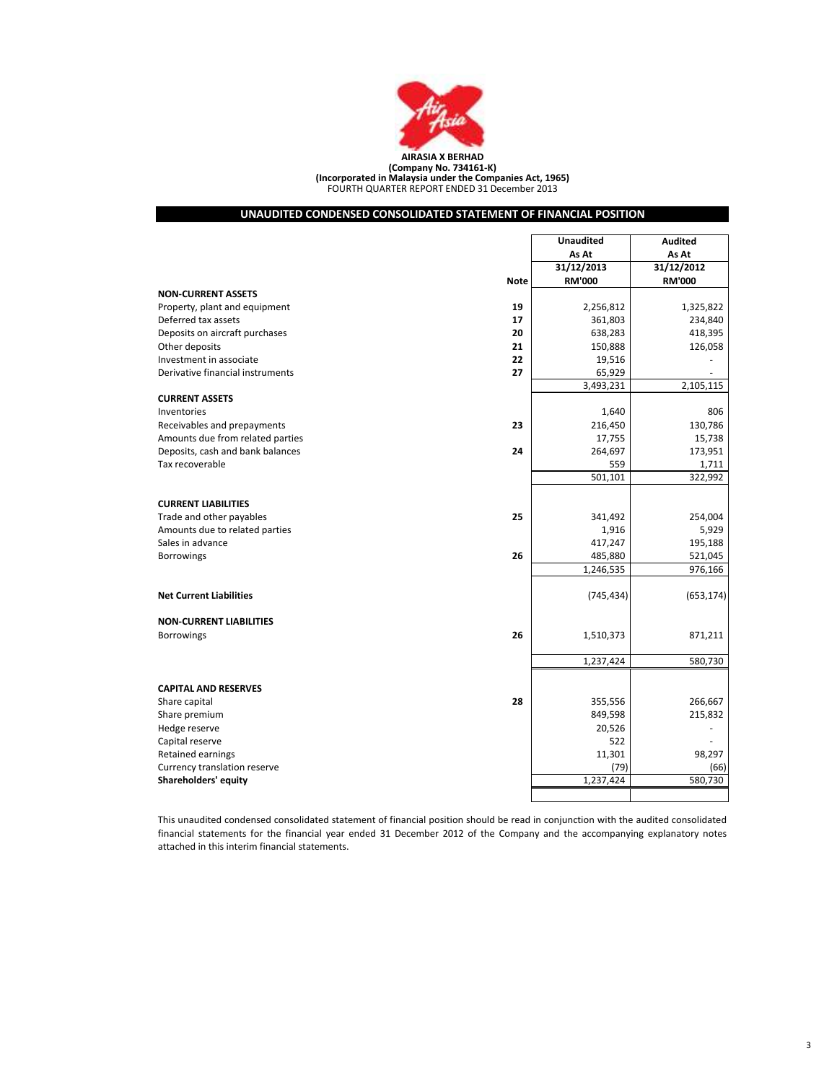

FOURTH QUARTER REPORT ENDED 31 December 2013 (Company No. 734161-K) (Incorporated in Malaysia under the Companies Act, 1965)

## UNAUDITED CONDENSED CONSOLIDATED STATEMENT OF FINANCIAL POSITION

|                                  |             | <b>Unaudited</b> | <b>Audited</b> |
|----------------------------------|-------------|------------------|----------------|
|                                  |             | As At            | As At          |
|                                  |             | 31/12/2013       | 31/12/2012     |
|                                  | <b>Note</b> | <b>RM'000</b>    | <b>RM'000</b>  |
| <b>NON-CURRENT ASSETS</b>        |             |                  |                |
| Property, plant and equipment    | 19          | 2,256,812        | 1,325,822      |
| Deferred tax assets              | 17          | 361,803          | 234,840        |
| Deposits on aircraft purchases   | 20          | 638,283          | 418,395        |
| Other deposits                   | 21          | 150,888          | 126,058        |
| Investment in associate          | 22          | 19,516           |                |
| Derivative financial instruments | 27          | 65,929           |                |
|                                  |             | 3,493,231        | 2,105,115      |
| <b>CURRENT ASSETS</b>            |             |                  |                |
| Inventories                      |             | 1,640            | 806            |
| Receivables and prepayments      | 23          | 216,450          | 130,786        |
| Amounts due from related parties |             | 17,755           | 15,738         |
| Deposits, cash and bank balances | 24          | 264,697          | 173,951        |
| Tax recoverable                  |             | 559              | 1,711          |
|                                  |             | 501,101          | 322,992        |
|                                  |             |                  |                |
| <b>CURRENT LIABILITIES</b>       |             |                  |                |
| Trade and other payables         | 25          | 341,492          | 254,004        |
| Amounts due to related parties   |             | 1,916            | 5,929          |
| Sales in advance                 |             | 417,247          | 195,188        |
| <b>Borrowings</b>                | 26          | 485,880          | 521,045        |
|                                  |             | 1,246,535        | 976,166        |
|                                  |             |                  |                |
| <b>Net Current Liabilities</b>   |             | (745, 434)       | (653, 174)     |
|                                  |             |                  |                |
| <b>NON-CURRENT LIABILITIES</b>   |             |                  |                |
| <b>Borrowings</b>                | 26          | 1,510,373        | 871,211        |
|                                  |             |                  |                |
|                                  |             | 1,237,424        | 580,730        |
|                                  |             |                  |                |
| <b>CAPITAL AND RESERVES</b>      |             |                  |                |
| Share capital                    | 28          | 355,556          | 266,667        |
| Share premium                    |             | 849,598          | 215,832        |
| Hedge reserve                    |             | 20,526           |                |
| Capital reserve                  |             | 522              |                |
| Retained earnings                |             | 11,301           | 98,297         |
| Currency translation reserve     |             | (79)             | (66)           |
| Shareholders' equity             |             | 1,237,424        | 580,730        |
|                                  |             |                  |                |

This unaudited condensed consolidated statement of financial position should be read in conjunction with the audited consolidated financial statements for the financial year ended 31 December 2012 of the Company and the accompanying explanatory notes attached in this interim financial statements.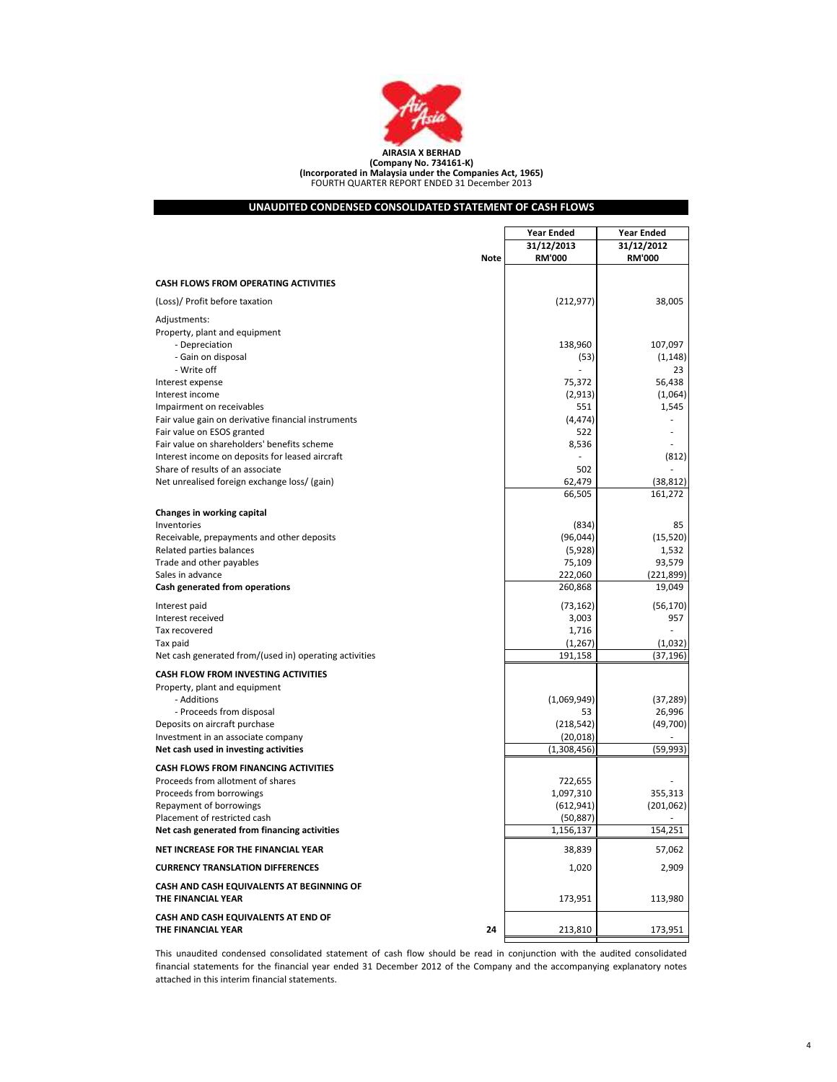

## (Company No. 734161-K) (Incorporated in Malaysia under the Companies Act, 1965) FOURTH QUARTER REPORT ENDED 31 December 2013

## UNAUDITED CONDENSED CONSOLIDATED STATEMENT OF CASH FLOWS

|                                                                 |             | Year Ended    | <b>Year Ended</b> |
|-----------------------------------------------------------------|-------------|---------------|-------------------|
|                                                                 |             | 31/12/2013    | 31/12/2012        |
|                                                                 | <b>Note</b> | <b>RM'000</b> | <b>RM'000</b>     |
|                                                                 |             |               |                   |
| <b>CASH FLOWS FROM OPERATING ACTIVITIES</b>                     |             |               |                   |
| (Loss)/ Profit before taxation                                  |             | (212, 977)    | 38,005            |
| Adjustments:                                                    |             |               |                   |
| Property, plant and equipment                                   |             |               |                   |
| - Depreciation                                                  |             | 138,960       | 107,097           |
| - Gain on disposal                                              |             | (53)          | (1, 148)          |
| - Write off                                                     |             |               | 23                |
| Interest expense                                                |             | 75,372        | 56,438            |
| Interest income                                                 |             | (2,913)       | (1,064)           |
| Impairment on receivables                                       |             | 551           | 1,545             |
| Fair value gain on derivative financial instruments             |             | (4, 474)      |                   |
| Fair value on ESOS granted                                      |             | 522           |                   |
| Fair value on shareholders' benefits scheme                     |             | 8,536         |                   |
| Interest income on deposits for leased aircraft                 |             |               | (812)             |
| Share of results of an associate                                |             | 502           |                   |
| Net unrealised foreign exchange loss/ (gain)                    |             | 62,479        | (38, 812)         |
|                                                                 |             | 66,505        | 161,272           |
| Changes in working capital                                      |             |               |                   |
| Inventories                                                     |             | (834)         | 85                |
| Receivable, prepayments and other deposits                      |             | (96, 044)     | (15, 520)         |
| Related parties balances                                        |             | (5,928)       | 1,532             |
| Trade and other payables                                        |             | 75,109        | 93,579            |
| Sales in advance                                                |             | 222,060       | (221, 899)        |
| Cash generated from operations                                  |             | 260,868       | 19,049            |
| Interest paid                                                   |             | (73, 162)     | (56, 170)         |
| Interest received                                               |             | 3,003         | 957               |
| Tax recovered                                                   |             | 1,716         |                   |
| Tax paid                                                        |             | (1, 267)      | (1,032)           |
| Net cash generated from/(used in) operating activities          |             | 191,158       | (37, 196)         |
| CASH FLOW FROM INVESTING ACTIVITIES                             |             |               |                   |
| Property, plant and equipment                                   |             |               |                   |
| - Additions                                                     |             | (1,069,949)   | (37, 289)         |
| - Proceeds from disposal                                        |             | 53            | 26,996            |
| Deposits on aircraft purchase                                   |             | (218, 542)    | (49,700)          |
| Investment in an associate company                              |             | (20, 018)     |                   |
| Net cash used in investing activities                           |             | (1,308,456)   | (59,993)          |
| <b>CASH FLOWS FROM FINANCING ACTIVITIES</b>                     |             |               |                   |
| Proceeds from allotment of shares                               |             | 722,655       |                   |
| Proceeds from borrowings                                        |             | 1,097,310     | 355,313           |
| Repayment of borrowings                                         |             | (612, 941)    | (201,062)         |
| Placement of restricted cash                                    |             | (50, 887)     |                   |
| Net cash generated from financing activities                    |             | 1,156,137     | 154,251           |
| NET INCREASE FOR THE FINANCIAL YEAR                             |             | 38,839        | 57,062            |
| <b>CURRENCY TRANSLATION DIFFERENCES</b>                         |             | 1,020         | 2,909             |
| CASH AND CASH EQUIVALENTS AT BEGINNING OF<br>THE FINANCIAL YEAR |             | 173,951       | 113,980           |
| CASH AND CASH EQUIVALENTS AT END OF<br>THE FINANCIAL YEAR       | 24          | 213,810       | 173,951           |
|                                                                 |             |               |                   |

This unaudited condensed consolidated statement of cash flow should be read in conjunction with the audited consolidated financial statements for the financial year ended 31 December 2012 of the Company and the accompanying explanatory notes attached in this interim financial statements.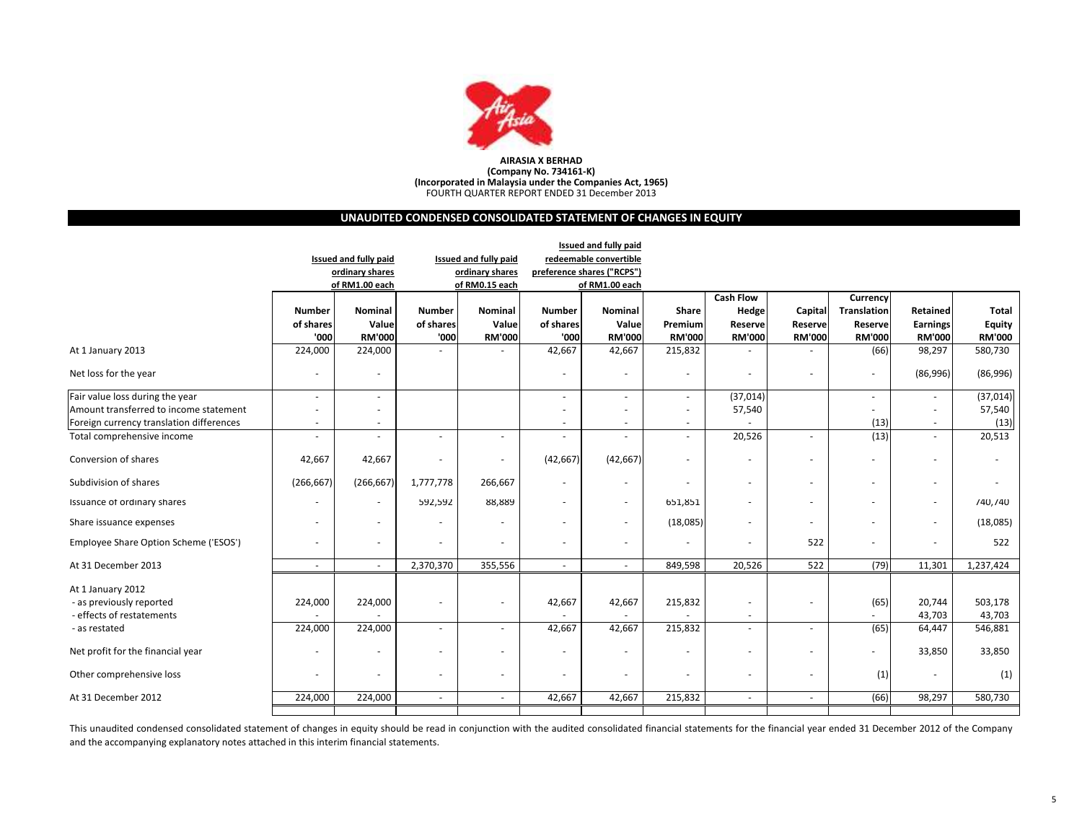

## AIRASIA X BERHAD(Company No. 734161-K) (Incorporated in Malaysia under the Companies Act, 1965) FOURTH QUARTER REPORT ENDED 31 December 2013

## UNAUDITED CONDENSED CONSOLIDATED STATEMENT OF CHANGES IN EQUITY

|                                                                            | Issued and fully paid    |                              |                            |                          |                            |                          |                          |                                                      |                          |                          |                                  |                                |
|----------------------------------------------------------------------------|--------------------------|------------------------------|----------------------------|--------------------------|----------------------------|--------------------------|--------------------------|------------------------------------------------------|--------------------------|--------------------------|----------------------------------|--------------------------------|
|                                                                            |                          | <b>Issued and fully paid</b> |                            | Issued and fully paid    |                            | redeemable convertible   |                          |                                                      |                          |                          |                                  |                                |
|                                                                            |                          | ordinary shares              |                            | ordinary shares          | preference shares ("RCPS") |                          |                          |                                                      |                          |                          |                                  |                                |
|                                                                            |                          | of RM1.00 each               |                            | of RM0.15 each           |                            | of RM1.00 each           |                          |                                                      |                          |                          |                                  |                                |
|                                                                            |                          |                              |                            |                          |                            |                          |                          | <b>Cash Flow</b>                                     |                          | Currency                 |                                  |                                |
|                                                                            | Number<br>of shares      | Nominal<br>Value             | <b>Number</b><br>of shares | Nominal<br>Value         | Number<br>of shares        | Nominal<br>Value         | Share<br>Premium         | Hedge                                                | Capital                  | <b>Translation</b>       | Retained                         | <b>Total</b>                   |
|                                                                            | '000                     | <b>RM'000</b>                | '000                       | <b>RM'000</b>            | '000                       | <b>RM'000</b>            | <b>RM'000</b>            | Reserve<br><b>RM'000</b>                             | Reserve<br><b>RM'000</b> | Reserve<br><b>RM'000</b> | <b>Earnings</b><br><b>RM'000</b> | <b>Equity</b><br><b>RM'000</b> |
|                                                                            | 224,000                  | 224,000                      |                            |                          | 42,667                     | 42,667                   | 215,832                  |                                                      |                          | (66)                     | 98,297                           | 580,730                        |
| At 1 January 2013                                                          |                          |                              |                            |                          |                            |                          |                          |                                                      |                          |                          |                                  |                                |
| Net loss for the year                                                      | $\overline{\phantom{a}}$ | $\overline{\phantom{a}}$     |                            |                          | ٠                          |                          |                          | $\sim$                                               | $\sim$                   | ÷                        | (86,996)                         | (86,996)                       |
| Fair value loss during the year                                            | $\overline{\phantom{a}}$ | $\sim$                       |                            |                          |                            |                          | $\sim$                   | (37, 014)                                            |                          | ٠                        | ٠                                | (37, 014)                      |
| Amount transferred to income statement                                     |                          |                              |                            |                          |                            |                          |                          | 57,540                                               |                          |                          | $\overline{a}$                   | 57,540                         |
| Foreign currency translation differences                                   | $\sim$                   | ٠                            |                            |                          |                            | $\sim$                   | $\overline{a}$           |                                                      |                          | (13)                     | $\sim$                           | (13)                           |
| Total comprehensive income                                                 |                          | $\sim$                       | $\sim$                     | $\overline{\phantom{a}}$ |                            |                          |                          | 20,526                                               | $\sim$                   | (13)                     | $\sim$                           | 20,513                         |
| Conversion of shares                                                       | 42,667                   | 42,667                       | $\sim$                     | $\overline{\phantom{a}}$ | (42, 667)                  | (42, 667)                |                          | $\overline{\phantom{a}}$                             | $\sim$                   | ٠                        | ٠                                |                                |
| Subdivision of shares                                                      | (266, 667)               | (266, 667)                   | 1,777,778                  | 266,667                  | ٠                          | $\overline{\phantom{a}}$ |                          | $\sim$                                               | $\sim$                   | ٠                        | ٠                                |                                |
| Issuance of ordinary shares                                                |                          | $\overline{\phantom{a}}$     | 592,592                    | 88,889                   | ٠                          | $\overline{\phantom{a}}$ | 651,851                  | $\overline{\phantom{a}}$                             | $\sim$                   | ٠                        | $\overline{\phantom{a}}$         | 740,740                        |
| Share issuance expenses                                                    | $\overline{\phantom{a}}$ | $\overline{\phantom{a}}$     | ٠                          | $\sim$                   | $\overline{\phantom{a}}$   | $\overline{\phantom{a}}$ | (18,085)                 | $\overline{\phantom{a}}$                             | $\sim$                   | ٠                        | $\overline{\phantom{a}}$         | (18,085)                       |
| Employee Share Option Scheme ('ESOS')                                      | $\overline{\phantom{a}}$ | $\overline{\phantom{a}}$     | $\sim$                     |                          |                            | $\sim$                   |                          | $\sim$                                               | 522                      | ٠                        | ٠                                | 522                            |
| At 31 December 2013                                                        | $\sim$                   | $\sim$                       | 2,370,370                  | 355,556                  | $\sim$                     | $\sim$                   | 849,598                  | 20,526                                               | 522                      | (79)                     | 11,301                           | 1,237,424                      |
| At 1 January 2012<br>- as previously reported<br>- effects of restatements | 224,000                  | 224,000                      | $\sim$                     | $\overline{\phantom{a}}$ | 42,667                     | 42,667                   | 215,832                  | $\overline{\phantom{a}}$<br>$\overline{\phantom{a}}$ | $\sim$                   | (65)<br>$\sim$           | 20,744<br>43,703                 | 503,178<br>43,703              |
| - as restated                                                              | 224,000                  | 224,000                      | $\sim$                     | $\sim$                   | 42,667                     | 42,667                   | 215,832                  | $\sim$                                               | $\sim$                   | (65)                     | 64,447                           | 546,881                        |
| Net profit for the financial year                                          |                          | ٠                            |                            |                          |                            |                          |                          | ٠                                                    | $\overline{\phantom{a}}$ | ٠                        | 33,850                           | 33,850                         |
| Other comprehensive loss                                                   | $\overline{\phantom{a}}$ | ٠                            | $\sim$                     | $\overline{\phantom{a}}$ | ٠                          | $\sim$                   | $\overline{\phantom{a}}$ | $\sim$                                               | $\sim$                   | (1)                      | $\sim$                           | (1)                            |
| At 31 December 2012                                                        | 224,000                  | 224,000                      | $\sim$                     | $\sim$                   | 42,667                     | 42,667                   | 215,832                  | $\sim$                                               | $\sim$                   | (66)                     | 98,297                           | 580,730                        |
|                                                                            |                          |                              |                            |                          |                            |                          |                          |                                                      |                          |                          |                                  |                                |

This unaudited condensed consolidated statement of changes in equity should be read in conjunction with the audited consolidated financial statements for the financial year ended <sup>31</sup> December <sup>2012</sup> of the Company and the accompanying explanatory notes attached in this interim financial statements.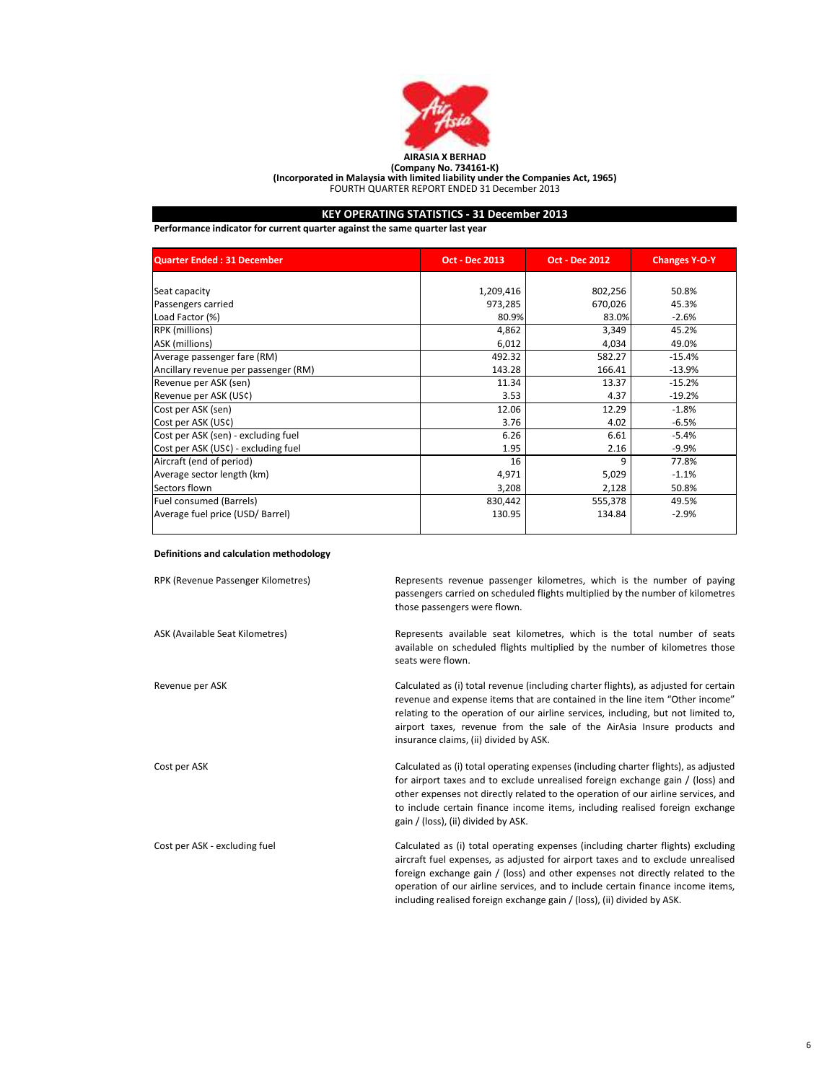

# (Company No. 734161-K)<br>(Incorporated in Malaysia with limited liability under the Companies Act, 1965)<br>FOURTH QUARTER REPORT ENDED 31 December 2013

## KEY OPERATING STATISTICS - 31 December 2013

Performance indicator for current quarter against the same quarter last year

| <b>Quarter Ended: 31 December</b>    | Oct - Dec 2013 | <b>Oct - Dec 2012</b> |          |
|--------------------------------------|----------------|-----------------------|----------|
|                                      |                |                       |          |
| Seat capacity                        | 1,209,416      | 802,256               | 50.8%    |
| Passengers carried                   | 973,285        | 670,026               | 45.3%    |
| Load Factor (%)                      | 80.9%          | 83.0%                 | $-2.6%$  |
| RPK (millions)                       | 4,862          | 3,349                 | 45.2%    |
| ASK (millions)                       | 6,012          | 4,034                 | 49.0%    |
| Average passenger fare (RM)          | 492.32         | 582.27                | $-15.4%$ |
| Ancillary revenue per passenger (RM) | 143.28         | 166.41                | $-13.9%$ |
| Revenue per ASK (sen)                | 11.34          | 13.37                 | $-15.2%$ |
| Revenue per ASK (US¢)                | 3.53           | 4.37                  | $-19.2%$ |
| Cost per ASK (sen)                   | 12.06          | 12.29                 | $-1.8%$  |
| Cost per ASK (US¢)                   | 3.76           | 4.02                  | $-6.5%$  |
| Cost per ASK (sen) - excluding fuel  | 6.26           | 6.61                  | $-5.4%$  |
| Cost per ASK (US¢) - excluding fuel  | 1.95           | 2.16                  | $-9.9%$  |
| Aircraft (end of period)             | 16             | 9                     | 77.8%    |
| Average sector length (km)           | 4,971          | 5,029                 | $-1.1%$  |
| Sectors flown                        | 3,208          | 2,128                 | 50.8%    |
| Fuel consumed (Barrels)              | 830,442        | 555,378               | 49.5%    |
| Average fuel price (USD/ Barrel)     | 130.95         | 134.84                | $-2.9%$  |
|                                      |                |                       |          |

## Definitions and calculation methodology

| RPK (Revenue Passenger Kilometres) | Represents revenue passenger kilometres, which is the number of paying<br>passengers carried on scheduled flights multiplied by the number of kilometres<br>those passengers were flown.                                                                                                                                                                                                                           |
|------------------------------------|--------------------------------------------------------------------------------------------------------------------------------------------------------------------------------------------------------------------------------------------------------------------------------------------------------------------------------------------------------------------------------------------------------------------|
| ASK (Available Seat Kilometres)    | Represents available seat kilometres, which is the total number of seats<br>available on scheduled flights multiplied by the number of kilometres those<br>seats were flown.                                                                                                                                                                                                                                       |
| Revenue per ASK                    | Calculated as (i) total revenue (including charter flights), as adjusted for certain<br>revenue and expense items that are contained in the line item "Other income"<br>relating to the operation of our airline services, including, but not limited to,<br>airport taxes, revenue from the sale of the AirAsia Insure products and<br>insurance claims, (ii) divided by ASK.                                     |
| Cost per ASK                       | Calculated as (i) total operating expenses (including charter flights), as adjusted<br>for airport taxes and to exclude unrealised foreign exchange gain / (loss) and<br>other expenses not directly related to the operation of our airline services, and<br>to include certain finance income items, including realised foreign exchange<br>gain / (loss), (ii) divided by ASK.                                  |
| Cost per ASK - excluding fuel      | Calculated as (i) total operating expenses (including charter flights) excluding<br>aircraft fuel expenses, as adjusted for airport taxes and to exclude unrealised<br>foreign exchange gain / (loss) and other expenses not directly related to the<br>operation of our airline services, and to include certain finance income items,<br>including realised foreign exchange gain / (loss), (ii) divided by ASK. |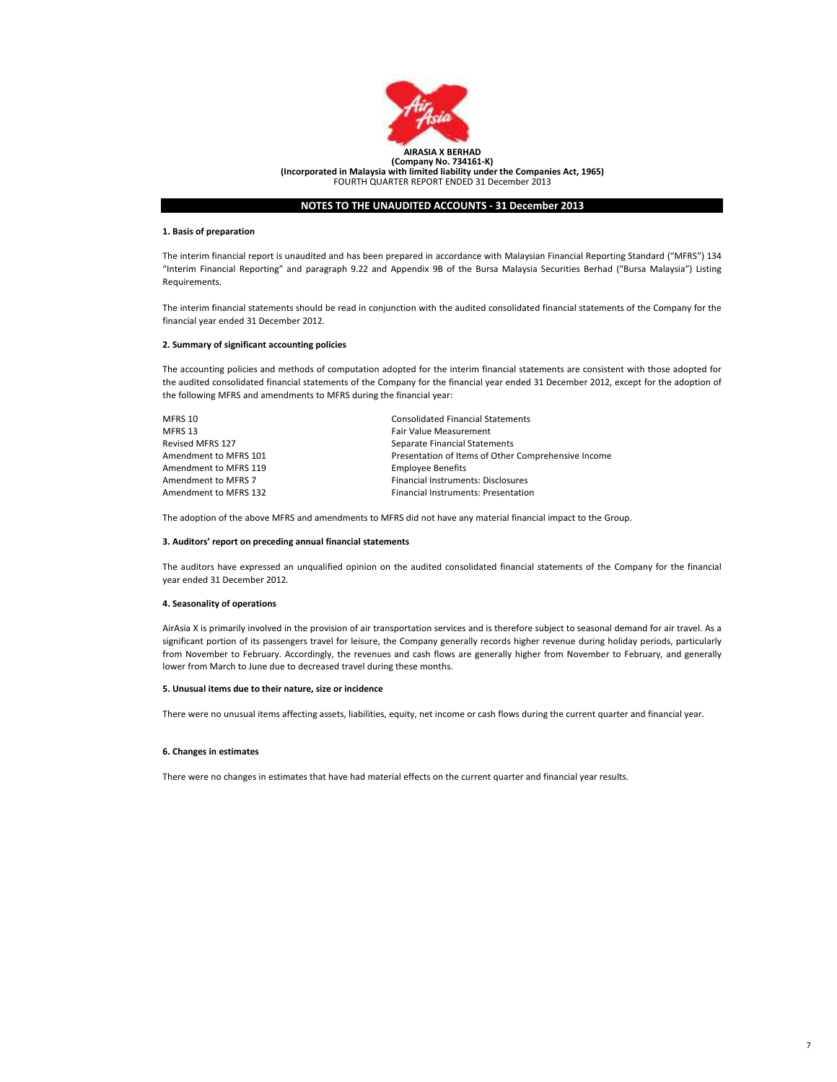

## 1. Basis of preparation

The interim financial report is unaudited and has been prepared in accordance with Malaysian Financial Reporting Standard ("MFRS") 134 "Interim Financial Reporting" and paragraph 9.22 and Appendix 9B of the Bursa Malaysia Securities Berhad ("Bursa Malaysia") Listing Requirements.

The interim financial statements should be read in conjunction with the audited consolidated financial statements of the Company for the financial year ended 31 December 2012.

## 2. Summary of significant accounting policies

The accounting policies and methods of computation adopted for the interim financial statements are consistent with those adopted for the audited consolidated financial statements of the Company for the financial year ended 31 December 2012, except for the adoption of the following MFRS and amendments to MFRS during the financial year:

| MFRS 10               | <b>Consolidated Financial Statements</b>            |
|-----------------------|-----------------------------------------------------|
| MFRS 13               | Fair Value Measurement                              |
| Revised MFRS 127      | Separate Financial Statements                       |
| Amendment to MFRS 101 | Presentation of Items of Other Comprehensive Income |
| Amendment to MFRS 119 | <b>Employee Benefits</b>                            |
| Amendment to MFRS 7   | Financial Instruments: Disclosures                  |
| Amendment to MFRS 132 | <b>Financial Instruments: Presentation</b>          |
|                       |                                                     |

The adoption of the above MFRS and amendments to MFRS did not have any material financial impact to the Group.

## 3. Auditors' report on preceding annual financial statements

The auditors have expressed an unqualified opinion on the audited consolidated financial statements of the Company for the financial year ended 31 December 2012.

#### 4. Seasonality of operations

AirAsia X is primarily involved in the provision of air transportation services and is therefore subject to seasonal demand for air travel. As a significant portion of its passengers travel for leisure, the Company generally records higher revenue during holiday periods, particularly from November to February. Accordingly, the revenues and cash flows are generally higher from November to February, and generally lower from March to June due to decreased travel during these months.

## 5. Unusual items due to their nature, size or incidence

There were no unusual items affecting assets, liabilities, equity, net income or cash flows during the current quarter and financial year.

#### 6. Changes in estimates

There were no changes in estimates that have had material effects on the current quarter and financial year results.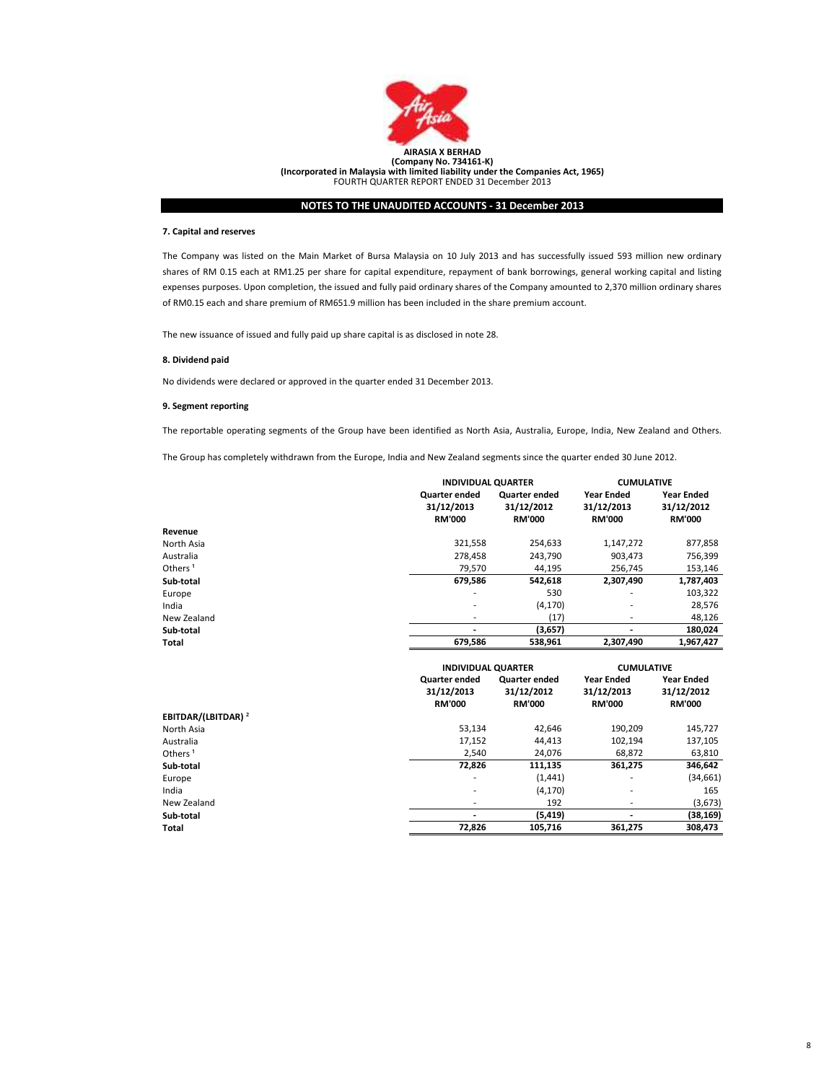

## 7. Capital and reserves

The Company was listed on the Main Market of Bursa Malaysia on 10 July 2013 and has successfully issued 593 million new ordinary shares of RM 0.15 each at RM1.25 per share for capital expenditure, repayment of bank borrowings, general working capital and listing expenses purposes. Upon completion, the issued and fully paid ordinary shares of the Company amounted to 2,370 million ordinary shares of RM0.15 each and share premium of RM651.9 million has been included in the share premium account.

The new issuance of issued and fully paid up share capital is as disclosed in note 28.

## 8. Dividend paid

No dividends were declared or approved in the quarter ended 31 December 2013.

## 9. Segment reporting

The reportable operating segments of the Group have been identified as North Asia, Australia, Europe, India, New Zealand and Others.

The Group has completely withdrawn from the Europe, India and New Zealand segments since the quarter ended 30 June 2012.

|                     |                                              | <b>INDIVIDUAL QUARTER</b>                           |                                                  | <b>CUMULATIVE</b>                                |
|---------------------|----------------------------------------------|-----------------------------------------------------|--------------------------------------------------|--------------------------------------------------|
|                     | Quarter ended<br>31/12/2013<br><b>RM'000</b> | <b>Quarter ended</b><br>31/12/2012<br><b>RM'000</b> | <b>Year Ended</b><br>31/12/2013<br><b>RM'000</b> | <b>Year Ended</b><br>31/12/2012<br><b>RM'000</b> |
| Revenue             |                                              |                                                     |                                                  |                                                  |
| North Asia          | 321,558                                      | 254.633                                             | 1,147,272                                        | 877,858                                          |
| Australia           | 278,458                                      | 243,790                                             | 903,473                                          | 756,399                                          |
| Others <sup>1</sup> | 79.570                                       | 44,195                                              | 256.745                                          | 153,146                                          |
| Sub-total           | 679,586                                      | 542,618                                             | 2,307,490                                        | 1,787,403                                        |
| Europe              | $\overline{\phantom{a}}$                     | 530                                                 | ۰                                                | 103,322                                          |
| India               | $\overline{\phantom{a}}$                     | (4, 170)                                            | ٠                                                | 28,576                                           |
| New Zealand         | $\overline{\phantom{a}}$                     | (17)                                                | ٠                                                | 48,126                                           |
| Sub-total           |                                              | (3,657)                                             | ٠                                                | 180,024                                          |
| Total               | 679,586                                      | 538,961                                             | 2,307,490                                        | 1,967,427                                        |

|                                |                      | <b>INDIVIDUAL QUARTER</b> |               | <b>CUMULATIVE</b> |  |
|--------------------------------|----------------------|---------------------------|---------------|-------------------|--|
|                                | <b>Quarter ended</b> | <b>Quarter ended</b>      | Year Ended    | <b>Year Ended</b> |  |
|                                | 31/12/2013           | 31/12/2012                | 31/12/2013    | 31/12/2012        |  |
|                                | <b>RM'000</b>        | <b>RM'000</b>             | <b>RM'000</b> | <b>RM'000</b>     |  |
| EBITDAR/(LBITDAR) <sup>2</sup> |                      |                           |               |                   |  |
| North Asia                     | 53,134               | 42,646                    | 190,209       | 145,727           |  |
| Australia                      | 17,152               | 44,413                    | 102,194       | 137,105           |  |
| Others <sup>1</sup>            | 2,540                | 24,076                    | 68.872        | 63,810            |  |
| Sub-total                      | 72,826               | 111,135                   | 361,275       | 346,642           |  |
| Europe                         | ۰.                   | (1, 441)                  | ٠             | (34, 661)         |  |
| India                          | ۰.                   | (4, 170)                  | ۰             | 165               |  |
| New Zealand                    |                      | 192                       |               | (3,673)           |  |
| Sub-total                      |                      | (5, 419)                  | -             | (38, 169)         |  |
| Total                          | 72,826               | 105,716                   | 361,275       | 308,473           |  |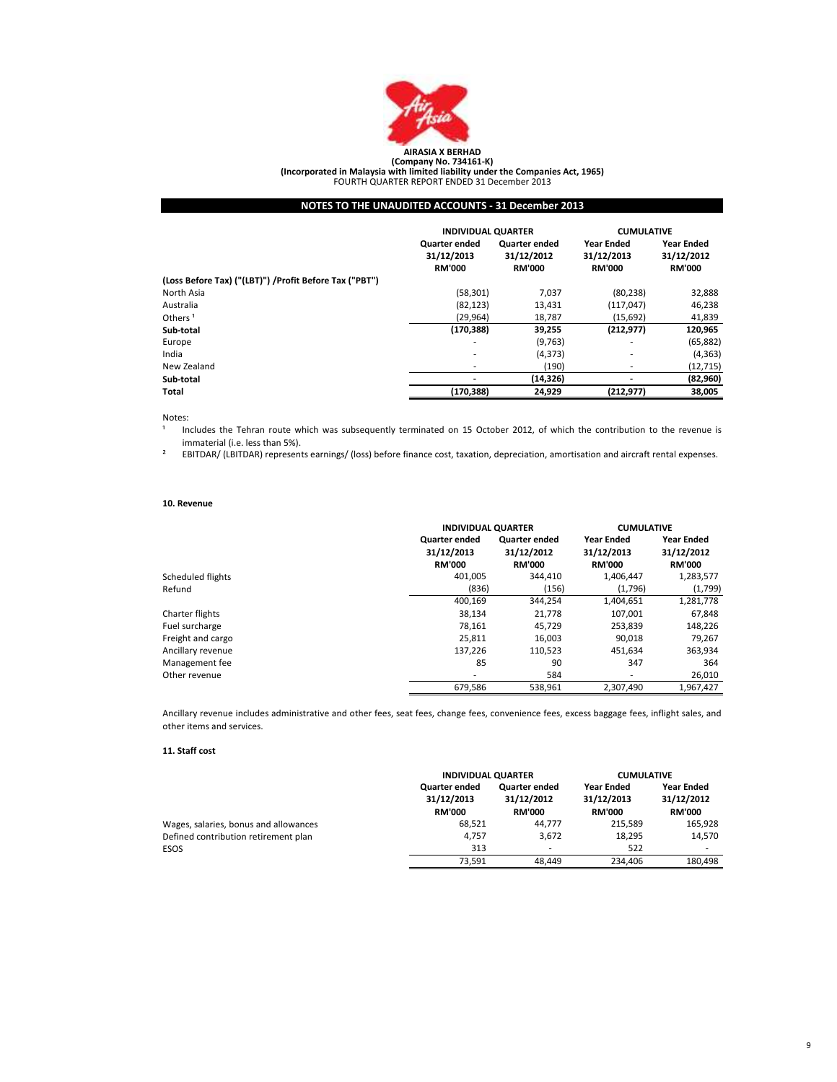

(Incorporated in Malaysia with limited liability under the Companies Act, 1965) FOURTH QUARTER REPORT ENDED 31 December 2013

## NOTES TO THE UNAUDITED ACCOUNTS - 31 December 2013

|                                                         | <b>INDIVIDUAL QUARTER</b>                    |                                                     | <b>CUMULATIVE</b>                                |                                                  |
|---------------------------------------------------------|----------------------------------------------|-----------------------------------------------------|--------------------------------------------------|--------------------------------------------------|
|                                                         | Quarter ended<br>31/12/2013<br><b>RM'000</b> | <b>Quarter ended</b><br>31/12/2012<br><b>RM'000</b> | <b>Year Ended</b><br>31/12/2013<br><b>RM'000</b> | <b>Year Ended</b><br>31/12/2012<br><b>RM'000</b> |
| (Loss Before Tax) ("(LBT)") / Profit Before Tax ("PBT") |                                              |                                                     |                                                  |                                                  |
| North Asia                                              | (58, 301)                                    | 7,037                                               | (80, 238)                                        | 32,888                                           |
| Australia                                               | (82, 123)                                    | 13,431                                              | (117, 047)                                       | 46,238                                           |
| Others <sup>1</sup>                                     | (29, 964)                                    | 18,787                                              | (15,692)                                         | 41,839                                           |
| Sub-total                                               | (170, 388)                                   | 39,255                                              | (212, 977)                                       | 120,965                                          |
| Europe                                                  | ۰                                            | (9,763)                                             | ۰                                                | (65, 882)                                        |
| India                                                   |                                              | (4, 373)                                            | ٠                                                | (4, 363)                                         |
| New Zealand                                             |                                              | (190)                                               | ٠                                                | (12, 715)                                        |
| Sub-total                                               |                                              | (14, 326)                                           |                                                  | (82,960)                                         |
| Total                                                   | (170,388)                                    | 24,929                                              | (212, 977)                                       | 38,005                                           |

Notes:

1 Includes the Tehran route which was subsequently terminated on 15 October 2012, of which the contribution to the revenue is immaterial (i.e. less than 5%).

² EBITDAR/ (LBITDAR) represents earnings/ (loss) before finance cost, taxation, depreciation, amortisation and aircraft rental expenses.

## 10. Revenue

|                   | <b>INDIVIDUAL QUARTER</b>                           |                                              | <b>CUMULATIVE</b>                                |                                                  |
|-------------------|-----------------------------------------------------|----------------------------------------------|--------------------------------------------------|--------------------------------------------------|
|                   | <b>Quarter ended</b><br>31/12/2013<br><b>RM'000</b> | Quarter ended<br>31/12/2012<br><b>RM'000</b> | <b>Year Ended</b><br>31/12/2013<br><b>RM'000</b> | <b>Year Ended</b><br>31/12/2012<br><b>RM'000</b> |
| Scheduled flights | 401.005                                             | 344.410                                      | 1,406,447                                        | 1,283,577                                        |
| Refund            | (836)                                               | (156)                                        | (1,796)                                          | (1,799)                                          |
|                   | 400,169                                             | 344,254                                      | 1,404,651                                        | 1,281,778                                        |
| Charter flights   | 38,134                                              | 21,778                                       | 107,001                                          | 67,848                                           |
| Fuel surcharge    | 78,161                                              | 45,729                                       | 253,839                                          | 148,226                                          |
| Freight and cargo | 25.811                                              | 16,003                                       | 90.018                                           | 79,267                                           |
| Ancillary revenue | 137.226                                             | 110,523                                      | 451.634                                          | 363,934                                          |
| Management fee    | 85                                                  | 90                                           | 347                                              | 364                                              |
| Other revenue     | ۰                                                   | 584                                          | $\overline{\phantom{a}}$                         | 26,010                                           |
|                   | 679,586                                             | 538.961                                      | 2.307.490                                        | 1.967.427                                        |

Ancillary revenue includes administrative and other fees, seat fees, change fees, convenience fees, excess baggage fees, inflight sales, and other items and services.

## 11. Staff cost

|                                       | <b>INDIVIDUAL QUARTER</b>                           |                                                     | <b>CUMULATIVE</b>                                |                                                  |
|---------------------------------------|-----------------------------------------------------|-----------------------------------------------------|--------------------------------------------------|--------------------------------------------------|
|                                       | <b>Quarter ended</b><br>31/12/2013<br><b>RM'000</b> | <b>Quarter ended</b><br>31/12/2012<br><b>RM'000</b> | <b>Year Ended</b><br>31/12/2013<br><b>RM'000</b> | <b>Year Ended</b><br>31/12/2012<br><b>RM'000</b> |
| Wages, salaries, bonus and allowances | 68.521                                              | 44.777                                              | 215.589                                          | 165,928                                          |
| Defined contribution retirement plan  | 4.757                                               | 3.672                                               | 18,295                                           | 14,570                                           |
| ESOS                                  | 313                                                 | -                                                   | 522                                              | ٠                                                |
|                                       | 73.591                                              | 48.449                                              | 234.406                                          | 180.498                                          |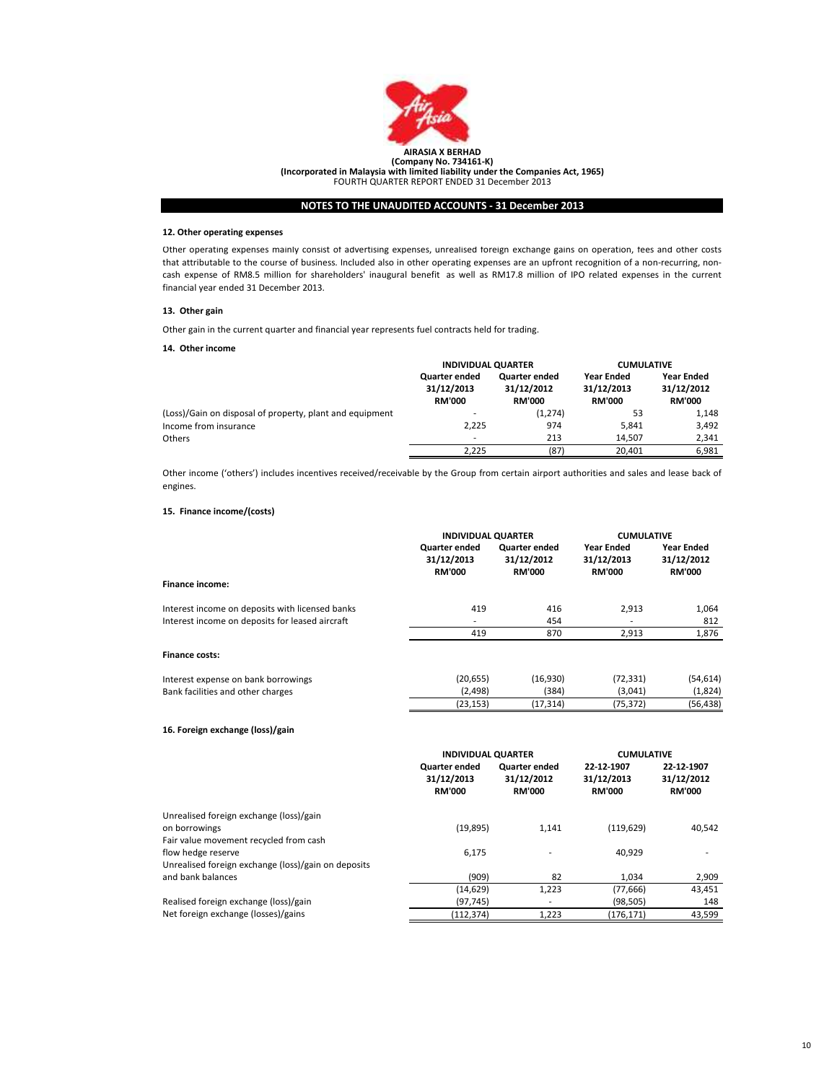

## 12. Other operating expenses

Other operating expenses mainly consist of advertising expenses, unrealised foreign exchange gains on operation, fees and other costs that attributable to the course of business. Included also in other operating expenses are an upfront recognition of a non-recurring, noncash expense of RM8.5 million for shareholders' inaugural benefit as well as RM17.8 million of IPO related expenses in the current financial year ended 31 December 2013.

## 13. Other gain

Other gain in the current quarter and financial year represents fuel contracts held for trading.

## 14. Other income

|                                                          | <b>INDIVIDUAL QUARTER</b>                    |                                                     | <b>CUMULATIVE</b>                         |                                                  |
|----------------------------------------------------------|----------------------------------------------|-----------------------------------------------------|-------------------------------------------|--------------------------------------------------|
|                                                          | Quarter ended<br>31/12/2013<br><b>RM'000</b> | <b>Quarter ended</b><br>31/12/2012<br><b>RM'000</b> | Year Ended<br>31/12/2013<br><b>RM'000</b> | <b>Year Ended</b><br>31/12/2012<br><b>RM'000</b> |
| (Loss)/Gain on disposal of property, plant and equipment |                                              | (1, 274)                                            | 53                                        | 1,148                                            |
| Income from insurance                                    | 2.225                                        | 974                                                 | 5.841                                     | 3,492                                            |
| <b>Others</b>                                            | ٠                                            | 213                                                 | 14.507                                    | 2,341                                            |
|                                                          | 2.225                                        | (87)                                                | 20.401                                    | 6,981                                            |
|                                                          |                                              |                                                     |                                           |                                                  |

Other income ('others') includes incentives received/receivable by the Group from certain airport authorities and sales and lease back of engines.

## 15. Finance income/(costs)

|                                                 | <b>INDIVIDUAL QUARTER</b><br>Quarter ended<br>31/12/2013 | <b>Quarter ended</b><br>31/12/2012 | <b>CUMULATIVE</b><br><b>Year Ended</b><br>31/12/2013 | <b>Year Ended</b><br>31/12/2012 |
|-------------------------------------------------|----------------------------------------------------------|------------------------------------|------------------------------------------------------|---------------------------------|
|                                                 | <b>RM'000</b>                                            | <b>RM'000</b>                      | <b>RM'000</b>                                        | <b>RM'000</b>                   |
| Finance income:                                 |                                                          |                                    |                                                      |                                 |
| Interest income on deposits with licensed banks | 419                                                      | 416                                | 2,913                                                | 1,064                           |
| Interest income on deposits for leased aircraft |                                                          | 454                                |                                                      | 812                             |
|                                                 | 419                                                      | 870                                | 2.913                                                | 1,876                           |
| <b>Finance costs:</b>                           |                                                          |                                    |                                                      |                                 |
| Interest expense on bank borrowings             | (20, 655)                                                | (16,930)                           | (72, 331)                                            | (54,614)                        |
| Bank facilities and other charges               | (2,498)                                                  | (384)                              | (3,041)                                              | (1,824)                         |
|                                                 | (23, 153)                                                | (17, 314)                          | (75, 372)                                            | (56,438)                        |

## 16. Foreign exchange (loss)/gain

|                                                     | <b>INDIVIDUAL QUARTER</b>                    |                                                     | <b>CUMULATIVE</b>                         |                                           |
|-----------------------------------------------------|----------------------------------------------|-----------------------------------------------------|-------------------------------------------|-------------------------------------------|
|                                                     | Quarter ended<br>31/12/2013<br><b>RM'000</b> | <b>Quarter ended</b><br>31/12/2012<br><b>RM'000</b> | 22-12-1907<br>31/12/2013<br><b>RM'000</b> | 22-12-1907<br>31/12/2012<br><b>RM'000</b> |
| Unrealised foreign exchange (loss)/gain             |                                              |                                                     |                                           |                                           |
| on borrowings                                       | (19, 895)                                    | 1,141                                               | (119, 629)                                | 40,542                                    |
| Fair value movement recycled from cash              |                                              |                                                     |                                           |                                           |
| flow hedge reserve                                  | 6.175                                        |                                                     | 40.929                                    |                                           |
| Unrealised foreign exchange (loss)/gain on deposits |                                              |                                                     |                                           |                                           |
| and bank balances                                   | (909)                                        | 82                                                  | 1.034                                     | 2,909                                     |
|                                                     | (14, 629)                                    | 1,223                                               | (77, 666)                                 | 43,451                                    |
| Realised foreign exchange (loss)/gain               | (97, 745)                                    |                                                     | (98, 505)                                 | 148                                       |
| Net foreign exchange (losses)/gains                 | (112,374)                                    | 1,223                                               | (176,171)                                 | 43,599                                    |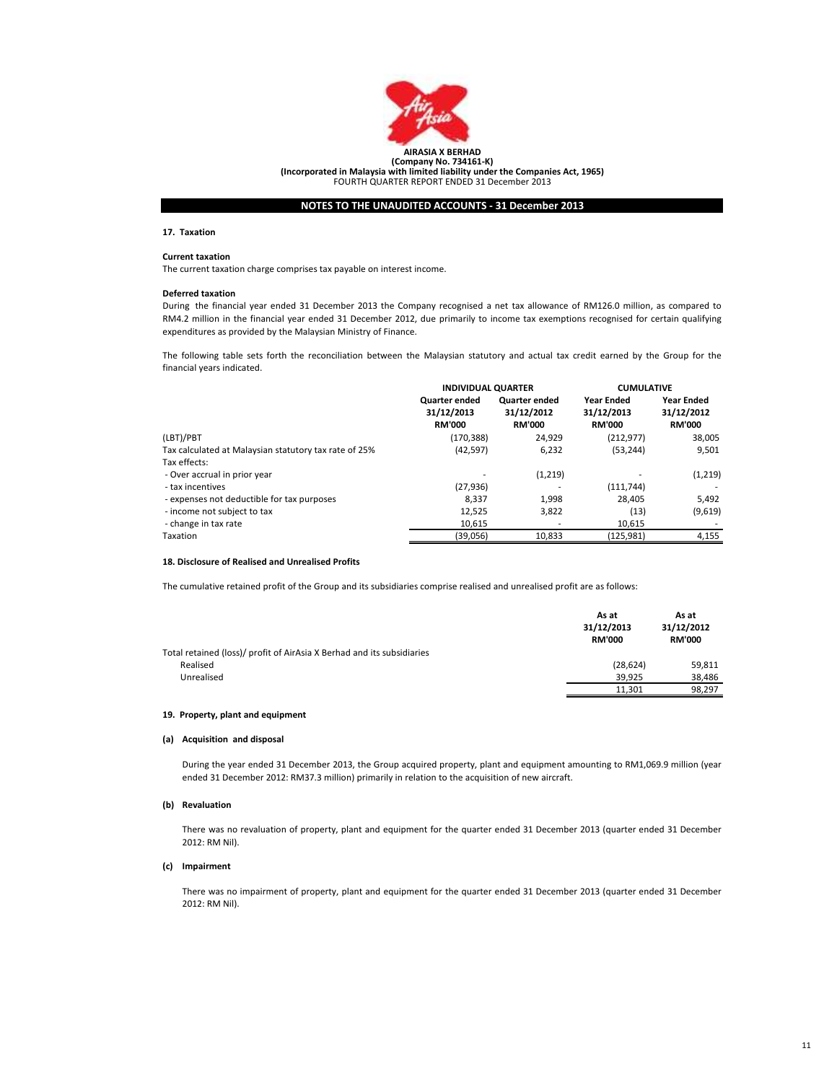

## 17. Taxation

## Current taxation

The current taxation charge comprises tax payable on interest income.

## Deferred taxation

During the financial year ended 31 December 2013 the Company recognised a net tax allowance of RM126.0 million, as compared to RM4.2 million in the financial year ended 31 December 2012, due primarily to income tax exemptions recognised for certain qualifying expenditures as provided by the Malaysian Ministry of Finance.

The following table sets forth the reconciliation between the Malaysian statutory and actual tax credit earned by the Group for the financial years indicated.

|                                                       | <b>INDIVIDUAL QUARTER</b> |                      | <b>CUMULATIVE</b> |                   |
|-------------------------------------------------------|---------------------------|----------------------|-------------------|-------------------|
|                                                       | Quarter ended             | <b>Quarter ended</b> | <b>Year Ended</b> | <b>Year Ended</b> |
|                                                       | 31/12/2013                | 31/12/2012           | 31/12/2013        | 31/12/2012        |
|                                                       | <b>RM'000</b>             | <b>RM'000</b>        | <b>RM'000</b>     | <b>RM'000</b>     |
| (LBT)/PBT                                             | (170, 388)                | 24.929               | (212, 977)        | 38,005            |
| Tax calculated at Malaysian statutory tax rate of 25% | (42, 597)                 | 6,232                | (53, 244)         | 9,501             |
| Tax effects:                                          |                           |                      |                   |                   |
| - Over accrual in prior year                          |                           | (1,219)              |                   | (1, 219)          |
| - tax incentives                                      | (27, 936)                 |                      | (111, 744)        |                   |
| - expenses not deductible for tax purposes            | 8.337                     | 1,998                | 28.405            | 5,492             |
| - income not subject to tax                           | 12,525                    | 3,822                | (13)              | (9,619)           |
| - change in tax rate                                  | 10,615                    |                      | 10.615            |                   |
| Taxation                                              | (39,056)                  | 10.833               | (125.981)         | 4,155             |

## 18. Disclosure of Realised and Unrealised Profits

The cumulative retained profit of the Group and its subsidiaries comprise realised and unrealised profit are as follows:

|                                                                        | As at<br>31/12/2013<br><b>RM'000</b> | As at<br>31/12/2012<br><b>RM'000</b> |
|------------------------------------------------------------------------|--------------------------------------|--------------------------------------|
| Total retained (loss)/ profit of AirAsia X Berhad and its subsidiaries |                                      |                                      |
| Realised                                                               | (28, 624)                            | 59,811                               |
| Unrealised                                                             | 39.925                               | 38,486                               |
|                                                                        | 11.301                               | 98,297                               |

## 19. Property, plant and equipment

## (a) Acquisition and disposal

During the year ended 31 December 2013, the Group acquired property, plant and equipment amounting to RM1,069.9 million (year ended 31 December 2012: RM37.3 million) primarily in relation to the acquisition of new aircraft.

## (b) Revaluation

There was no revaluation of property, plant and equipment for the quarter ended 31 December 2013 (quarter ended 31 December 2012: RM Nil).

## (c) Impairment

There was no impairment of property, plant and equipment for the quarter ended 31 December 2013 (quarter ended 31 December 2012: RM Nil).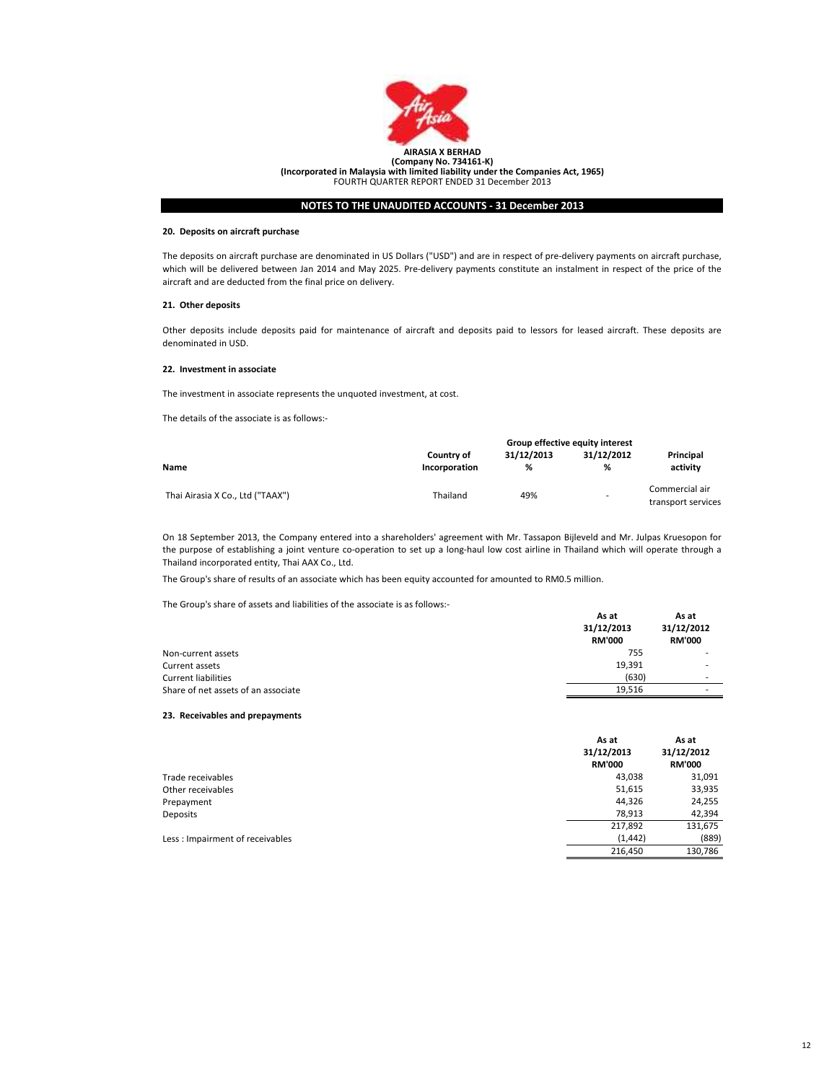

### 20. Deposits on aircraft purchase

The deposits on aircraft purchase are denominated in US Dollars ("USD") and are in respect of pre-delivery payments on aircraft purchase, which will be delivered between Jan 2014 and May 2025. Pre-delivery payments constitute an instalment in respect of the price of the aircraft and are deducted from the final price on delivery.

## 21. Other deposits

Other deposits include deposits paid for maintenance of aircraft and deposits paid to lessors for leased aircraft. These deposits are denominated in USD.

## 22. Investment in associate

The investment in associate represents the unquoted investment, at cost.

The details of the associate is as follows:-

|                                  |                                    | Group effective equity interest |                 |                                      |
|----------------------------------|------------------------------------|---------------------------------|-----------------|--------------------------------------|
| Name                             | <b>Country of</b><br>Incorporation | 31/12/2013<br>%                 | 31/12/2012<br>% | Principal<br>activity                |
| Thai Airasia X Co., Ltd ("TAAX") | Thailand                           | 49%                             | ۰               | Commercial air<br>transport services |

On 18 September 2013, the Company entered into a shareholders' agreement with Mr. Tassapon Bijleveld and Mr. Julpas Kruesopon for the purpose of establishing a joint venture co-operation to set up a long-haul low cost airline in Thailand which will operate through a Thailand incorporated entity, Thai AAX Co., Ltd.

The Group's share of results of an associate which has been equity accounted for amounted to RM0.5 million.

The Group's share of assets and liabilities of the associate is as follows:-

|                                     | As at<br>31/12/2013<br><b>RM'000</b> | As at<br>31/12/2012<br><b>RM'000</b> |
|-------------------------------------|--------------------------------------|--------------------------------------|
| Non-current assets                  | 755                                  |                                      |
| Current assets                      | 19,391                               |                                      |
| <b>Current liabilities</b>          | (630)                                | $\overline{\phantom{a}}$             |
| Share of net assets of an associate | 19.516                               | ۰                                    |

#### 23. Receivables and prepayments

|                                 | As at<br>31/12/2013<br><b>RM'000</b> | As at<br>31/12/2012<br><b>RM'000</b> |
|---------------------------------|--------------------------------------|--------------------------------------|
| Trade receivables               | 43,038                               | 31,091                               |
| Other receivables               | 51,615                               | 33,935                               |
| Prepayment                      | 44,326                               | 24,255                               |
| Deposits                        | 78,913                               | 42,394                               |
|                                 | 217,892                              | 131,675                              |
| Less: Impairment of receivables | (1, 442)                             | (889)                                |
|                                 | 216,450                              | 130,786                              |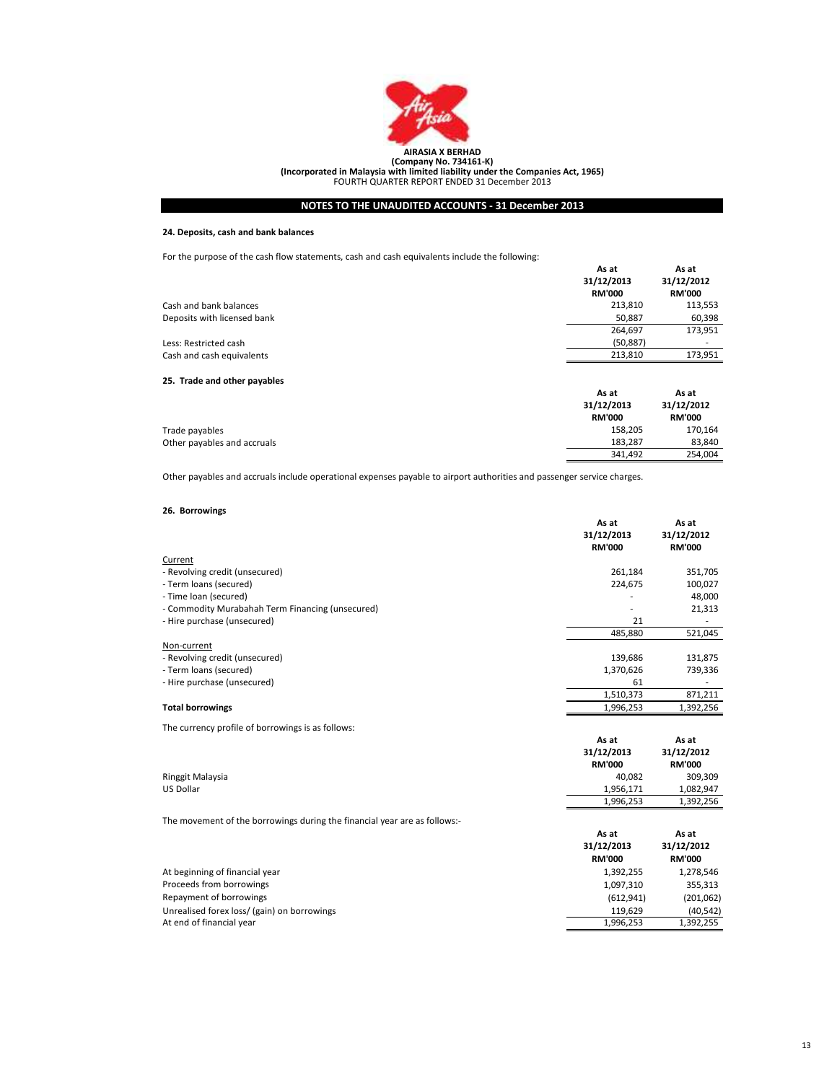

## 24. Deposits, cash and bank balances

For the purpose of the cash flow statements, cash and cash equivalents include the following:

|                              | As at<br>31/12/2013<br><b>RM'000</b> | As at<br>31/12/2012<br><b>RM'000</b> |
|------------------------------|--------------------------------------|--------------------------------------|
| Cash and bank balances       | 213,810                              | 113,553                              |
| Deposits with licensed bank  | 50,887                               | 60,398                               |
|                              | 264,697                              | 173,951                              |
| Less: Restricted cash        | (50, 887)                            | ۰.                                   |
| Cash and cash equivalents    | 213,810                              | 173,951                              |
| 25. Trade and other payables |                                      |                                      |
|                              | As at                                | As at                                |
|                              | 31/12/2013<br><b>RM'000</b>          | 31/12/2012<br><b>RM'000</b>          |
| Trade payables               | 158,205                              | 170,164                              |
| Other payables and accruals  | 183,287                              | 83,840                               |
|                              | 341,492                              | 254.004                              |

- - Other payables and accruals include operational expenses payable to airport authorities and passenger service charges.

## 26. Borrowings

|                                                  | As at<br>31/12/2013<br><b>RM'000</b> | As at<br>31/12/2012<br><b>RM'000</b> |
|--------------------------------------------------|--------------------------------------|--------------------------------------|
| Current                                          |                                      |                                      |
| - Revolving credit (unsecured)                   | 261,184                              | 351,705                              |
| - Term loans (secured)                           | 224,675                              | 100,027                              |
| - Time loan (secured)                            |                                      | 48,000                               |
| - Commodity Murabahah Term Financing (unsecured) | ٠                                    | 21,313                               |
| - Hire purchase (unsecured)                      | 21                                   |                                      |
|                                                  | 485,880                              | 521,045                              |
| Non-current                                      |                                      |                                      |
| - Revolving credit (unsecured)                   | 139,686                              | 131,875                              |
| - Term loans (secured)                           | 1,370,626                            | 739,336                              |
| - Hire purchase (unsecured)                      | 61                                   |                                      |
|                                                  | 1,510,373                            | 871,211                              |
| <b>Total borrowings</b>                          | 1,996,253                            | 1.392.256                            |

The currency profile of borrowings is as follows:

|                                                                           | As at<br>31/12/2013<br><b>RM'000</b> | As at<br>31/12/2012<br><b>RM'000</b> |
|---------------------------------------------------------------------------|--------------------------------------|--------------------------------------|
| Ringgit Malaysia                                                          | 40,082                               | 309,309                              |
| <b>US Dollar</b>                                                          | 1,956,171                            | 1,082,947                            |
|                                                                           | 1,996,253                            | 1,392,256                            |
| The movement of the borrowings during the financial year are as follows:- |                                      |                                      |
|                                                                           |                                      |                                      |
|                                                                           | As at<br>31/12/2013<br><b>RM'000</b> | As at<br>31/12/2012<br><b>RM'000</b> |
| At beginning of financial year                                            | 1,392,255                            | 1,278,546                            |
| Proceeds from borrowings                                                  | 1,097,310                            | 355,313                              |
| Repayment of borrowings                                                   | (612, 941)                           | (201,062)                            |
| Unrealised forex loss/ (gain) on borrowings                               | 119,629                              | (40, 542)                            |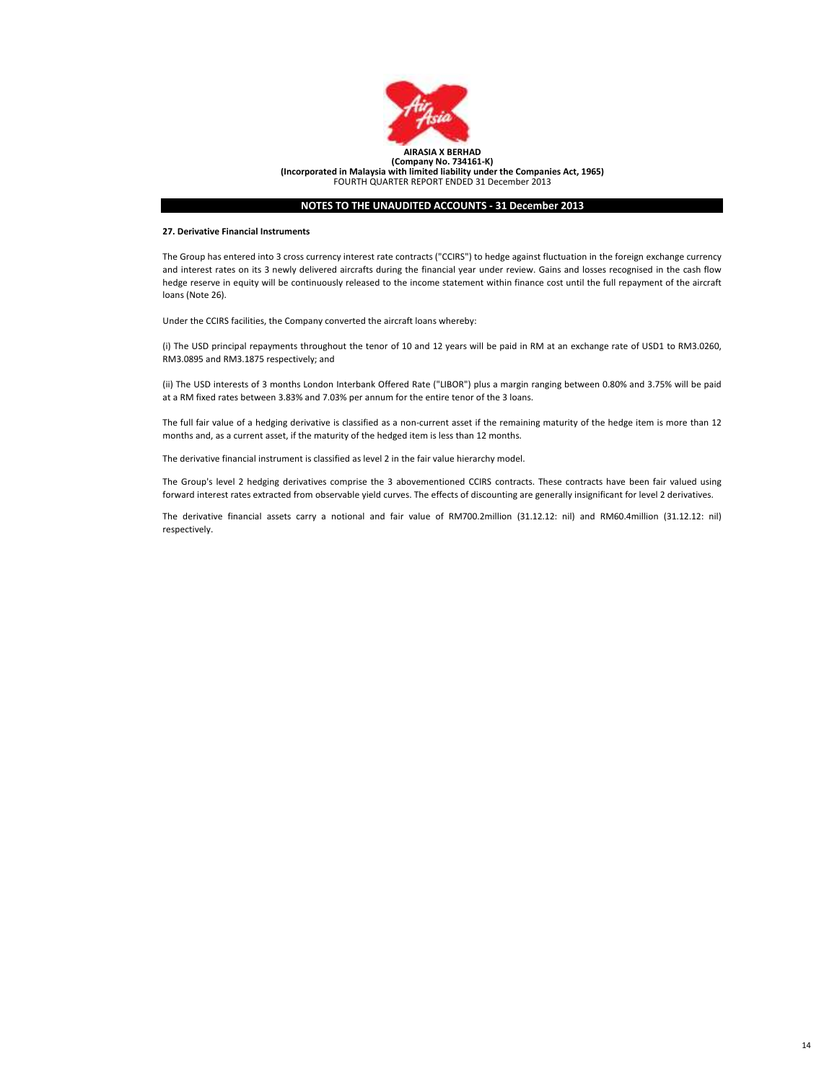

## 27. Derivative Financial Instruments

The Group has entered into 3 cross currency interest rate contracts ("CCIRS") to hedge against fluctuation in the foreign exchange currency and interest rates on its 3 newly delivered aircrafts during the financial year under review. Gains and losses recognised in the cash flow hedge reserve in equity will be continuously released to the income statement within finance cost until the full repayment of the aircraft loans (Note 26).

Under the CCIRS facilities, the Company converted the aircraft loans whereby:

(i) The USD principal repayments throughout the tenor of 10 and 12 years will be paid in RM at an exchange rate of USD1 to RM3.0260, RM3.0895 and RM3.1875 respectively; and

(ii) The USD interests of 3 months London Interbank Offered Rate ("LIBOR") plus a margin ranging between 0.80% and 3.75% will be paid at a RM fixed rates between 3.83% and 7.03% per annum for the entire tenor of the 3 loans.

The full fair value of a hedging derivative is classified as a non-current asset if the remaining maturity of the hedge item is more than 12 months and, as a current asset, if the maturity of the hedged item is less than 12 months.

The derivative financial instrument is classified as level 2 in the fair value hierarchy model.

The Group's level 2 hedging derivatives comprise the 3 abovementioned CCIRS contracts. These contracts have been fair valued using forward interest rates extracted from observable yield curves. The effects of discounting are generally insignificant for level 2 derivatives.

The derivative financial assets carry a notional and fair value of RM700.2million (31.12.12: nil) and RM60.4million (31.12.12: nil) respectively.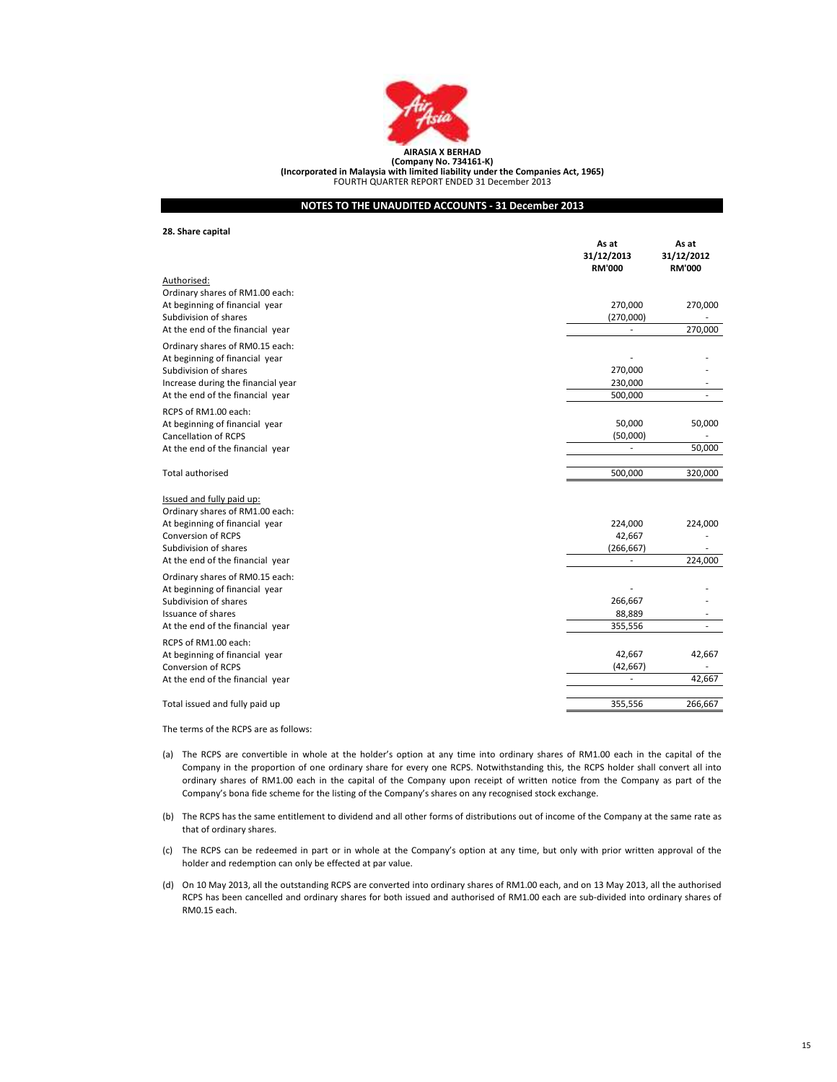

(Incorporated in Malaysia with limited liability under the Companies Act, 1965) FOURTH QUARTER REPORT ENDED 31 December 2013

## NOTES TO THE UNAUDITED ACCOUNTS - 31 December 2013

28. Share capital

|                                                              | As at<br>31/12/2013<br><b>RM'000</b> | As at<br>31/12/2012<br><b>RM'000</b> |
|--------------------------------------------------------------|--------------------------------------|--------------------------------------|
| Authorised:                                                  |                                      |                                      |
| Ordinary shares of RM1.00 each:                              |                                      |                                      |
| At beginning of financial year                               | 270,000                              | 270,000                              |
| Subdivision of shares                                        | (270,000)                            |                                      |
| At the end of the financial year                             | ٠                                    | 270,000                              |
| Ordinary shares of RM0.15 each:                              |                                      |                                      |
| At beginning of financial year                               |                                      |                                      |
| Subdivision of shares                                        | 270,000                              |                                      |
| Increase during the financial year                           | 230,000                              |                                      |
| At the end of the financial year                             | 500,000                              |                                      |
| RCPS of RM1.00 each:                                         |                                      |                                      |
| At beginning of financial year                               | 50,000                               | 50,000                               |
| <b>Cancellation of RCPS</b>                                  | (50,000)                             |                                      |
| At the end of the financial year                             |                                      | 50,000                               |
| Total authorised                                             | 500,000                              | 320,000                              |
| Issued and fully paid up:<br>Ordinary shares of RM1.00 each: |                                      |                                      |
| At beginning of financial year                               | 224,000                              | 224,000                              |
| Conversion of RCPS                                           | 42,667                               |                                      |
| Subdivision of shares                                        | (266, 667)                           |                                      |
| At the end of the financial year                             | $\overline{\phantom{a}}$             | 224,000                              |
| Ordinary shares of RM0.15 each:                              |                                      |                                      |
| At beginning of financial year                               |                                      |                                      |
| Subdivision of shares                                        | 266,667                              |                                      |
| Issuance of shares                                           | 88,889                               |                                      |
| At the end of the financial year                             | 355,556                              | $\overline{\phantom{a}}$             |
| RCPS of RM1.00 each:                                         |                                      |                                      |
| At beginning of financial year                               | 42,667                               | 42,667                               |
| <b>Conversion of RCPS</b>                                    | (42, 667)                            |                                      |
| At the end of the financial year                             |                                      | 42,667                               |
| Total issued and fully paid up                               | 355,556                              | 266,667                              |
|                                                              |                                      |                                      |

The terms of the RCPS are as follows:

- (a) The RCPS are convertible in whole at the holder's option at any time into ordinary shares of RM1.00 each in the capital of the Company in the proportion of one ordinary share for every one RCPS. Notwithstanding this, the RCPS holder shall convert all into ordinary shares of RM1.00 each in the capital of the Company upon receipt of written notice from the Company as part of the Company's bona fide scheme for the listing of the Company's shares on any recognised stock exchange.
- (b) The RCPS has the same entitlement to dividend and all other forms of distributions out of income of the Company at the same rate as that of ordinary shares.
- (c) The RCPS can be redeemed in part or in whole at the Company's option at any time, but only with prior written approval of the holder and redemption can only be effected at par value.
- (d) On 10 May 2013, all the outstanding RCPS are converted into ordinary shares of RM1.00 each, and on 13 May 2013, all the authorised RCPS has been cancelled and ordinary shares for both issued and authorised of RM1.00 each are sub-divided into ordinary shares of RM0.15 each.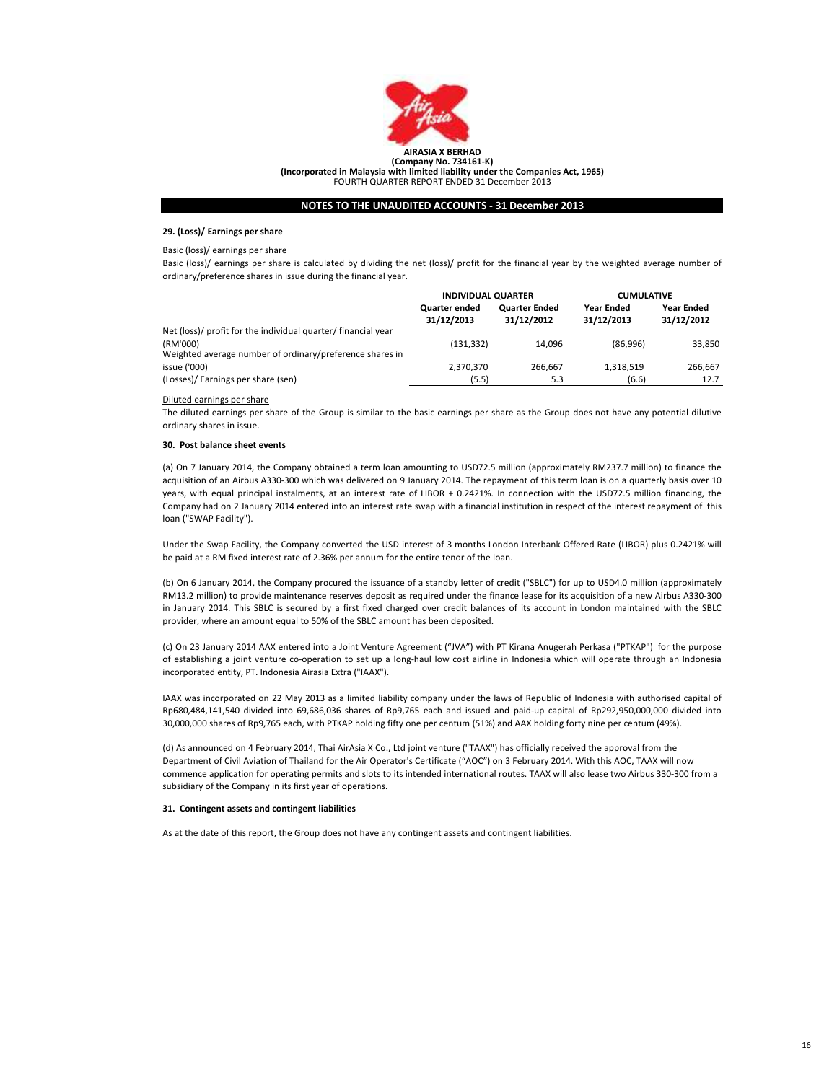

## 29. (Loss)/ Earnings per share

## Basic (loss)/ earnings per share

Basic (loss)/ earnings per share is calculated by dividing the net (loss)/ profit for the financial year by the weighted average number of ordinary/preference shares in issue during the financial year.

|                                                                      | <b>INDIVIDUAL QUARTER</b>          |                                    | <b>CUMULATIVE</b>               |                                 |
|----------------------------------------------------------------------|------------------------------------|------------------------------------|---------------------------------|---------------------------------|
|                                                                      | <b>Quarter ended</b><br>31/12/2013 | <b>Quarter Ended</b><br>31/12/2012 | <b>Year Ended</b><br>31/12/2013 | <b>Year Ended</b><br>31/12/2012 |
| Net (loss)/ profit for the individual quarter/ financial year        |                                    |                                    |                                 |                                 |
| (RM'000)<br>Weighted average number of ordinary/preference shares in | (131.332)                          | 14.096                             | (86,996)                        | 33,850                          |
| issue ('000)                                                         | 2,370,370                          | 266.667                            | 1.318.519                       | 266,667                         |
| (Losses)/ Earnings per share (sen)                                   | (5.5)                              | 5.3                                | (6.6)                           | 12.7                            |

#### Diluted earnings per share

The diluted earnings per share of the Group is similar to the basic earnings per share as the Group does not have any potential dilutive ordinary shares in issue.

#### 30. Post balance sheet events

(a) On 7 January 2014, the Company obtained a term loan amounting to USD72.5 million (approximately RM237.7 million) to finance the acquisition of an Airbus A330-300 which was delivered on 9 January 2014. The repayment of this term loan is on a quarterly basis over 10 years, with equal principal instalments, at an interest rate of LIBOR + 0.2421%. In connection with the USD72.5 million financing, the Company had on 2 January 2014 entered into an interest rate swap with a financial institution in respect of the interest repayment of this loan ("SWAP Facility").

Under the Swap Facility, the Company converted the USD interest of 3 months London Interbank Offered Rate (LIBOR) plus 0.2421% will be paid at a RM fixed interest rate of 2.36% per annum for the entire tenor of the loan.

(b) On 6 January 2014, the Company procured the issuance of a standby letter of credit ("SBLC") for up to USD4.0 million (approximately RM13.2 million) to provide maintenance reserves deposit as required under the finance lease for its acquisition of a new Airbus A330-300 in January 2014. This SBLC is secured by a first fixed charged over credit balances of its account in London maintained with the SBLC provider, where an amount equal to 50% of the SBLC amount has been deposited.

(c) On 23 January 2014 AAX entered into a Joint Venture Agreement ("JVA") with PT Kirana Anugerah Perkasa ("PTKAP") for the purpose of establishing a joint venture co-operation to set up a long-haul low cost airline in Indonesia which will operate through an Indonesia incorporated entity, PT. Indonesia Airasia Extra ("IAAX").

IAAX was incorporated on 22 May 2013 as a limited liability company under the laws of Republic of Indonesia with authorised capital of Rp680,484,141,540 divided into 69,686,036 shares of Rp9,765 each and issued and paid-up capital of Rp292,950,000,000 divided into 30,000,000 shares of Rp9,765 each, with PTKAP holding fifty one per centum (51%) and AAX holding forty nine per centum (49%).

(d) As announced on 4 February 2014, Thai AirAsia X Co., Ltd joint venture ("TAAX") has officially received the approval from the Department of Civil Aviation of Thailand for the Air Operator's Certificate ("AOC") on 3 February 2014. With this AOC, TAAX will now commence application for operating permits and slots to its intended international routes. TAAX will also lease two Airbus 330-300 from a subsidiary of the Company in its first year of operations.

#### 31. Contingent assets and contingent liabilities

As at the date of this report, the Group does not have any contingent assets and contingent liabilities.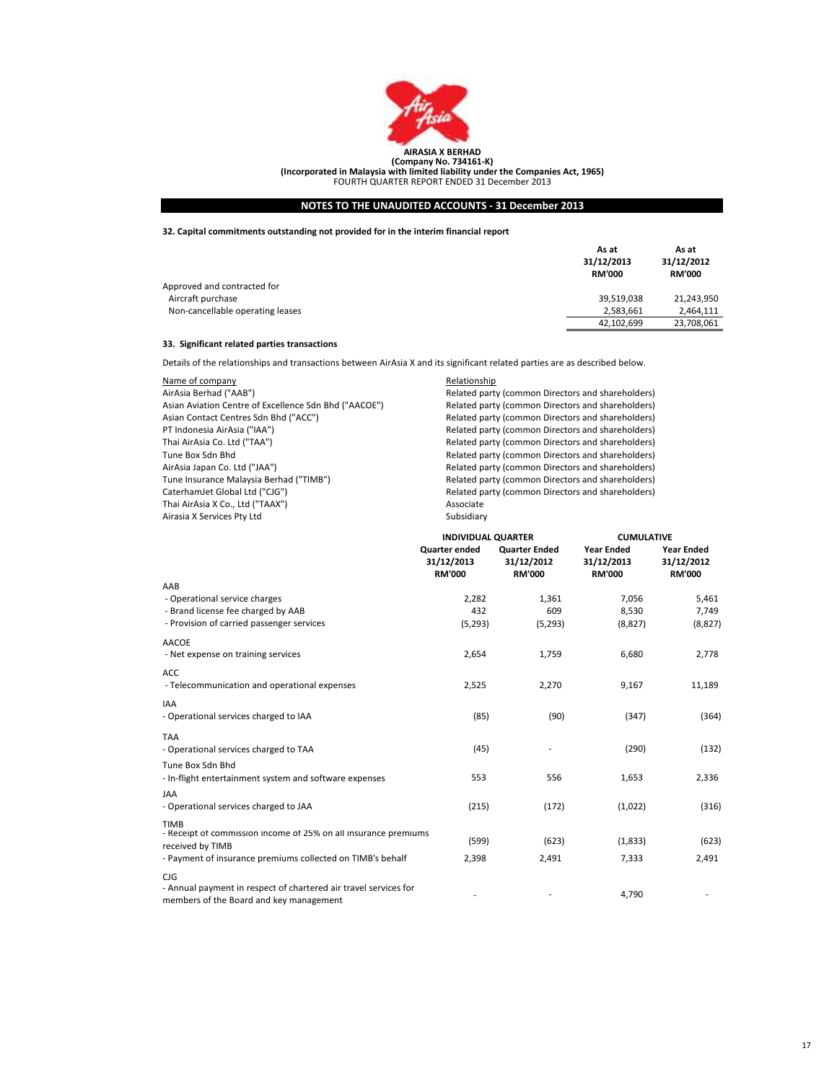

## 32. Capital commitments outstanding not provided for in the interim financial report

|                                  | As at<br>31/12/2013<br><b>RM'000</b> | As at<br>31/12/2012<br><b>RM'000</b> |
|----------------------------------|--------------------------------------|--------------------------------------|
| Approved and contracted for      |                                      |                                      |
| Aircraft purchase                | 39,519,038                           | 21.243.950                           |
| Non-cancellable operating leases | 2,583,661                            | 2.464.111                            |
|                                  | 42,102,699                           | 23,708,061                           |

## 33. Significant related parties transactions

Details of the relationships and transactions between AirAsia X and its significant related parties are as described below.

| Name of company                                       | Relationship  |
|-------------------------------------------------------|---------------|
| AirAsia Berhad ("AAB")                                | Related party |
| Asian Aviation Centre of Excellence Sdn Bhd ("AACOE") | Related party |
| Asian Contact Centres Sdn Bhd ("ACC")                 | Related party |
| PT Indonesia AirAsia ("IAA")                          | Related party |
| Thai AirAsia Co. Ltd ("TAA")                          | Related party |
| Tune Box Sdn Bhd                                      | Related party |
| AirAsia Japan Co. Ltd ("JAA")                         | Related party |
| Tune Insurance Malaysia Berhad ("TIMB")               | Related party |
| CaterhamJet Global Ltd ("CJG")                        | Related party |
| Thai AirAsia X Co., Ltd ("TAAX")                      | Associate     |
| Airasia X Services Pty Ltd                            | Subsidiary    |

Related party (common Directors and shareholders) (asset are also also Bian Bhad Bhad Bhad Bhareholders) Related party (common Directors and shareholders) Related party (common Directors and shareholders) Related party (common Directors and shareholders) Related party (common Directors and shareholders) Related party (common Directors and shareholders) Related party (common Directors and shareholders) Related party (common Directors and shareholders) Related party (common Directors and shareholders) Associate Subsidiary

|                                                                                                             | <b>INDIVIDUAL QUARTER</b>                           |                                                     | <b>CUMULATIVE</b>                                |                                                  |
|-------------------------------------------------------------------------------------------------------------|-----------------------------------------------------|-----------------------------------------------------|--------------------------------------------------|--------------------------------------------------|
|                                                                                                             | <b>Quarter ended</b><br>31/12/2013<br><b>RM'000</b> | <b>Quarter Ended</b><br>31/12/2012<br><b>RM'000</b> | <b>Year Ended</b><br>31/12/2013<br><b>RM'000</b> | <b>Year Ended</b><br>31/12/2012<br><b>RM'000</b> |
| AAB                                                                                                         |                                                     |                                                     |                                                  |                                                  |
| - Operational service charges                                                                               | 2,282                                               | 1,361                                               | 7,056                                            | 5,461                                            |
| - Brand license fee charged by AAB                                                                          | 432                                                 | 609                                                 | 8,530                                            | 7,749                                            |
| - Provision of carried passenger services                                                                   | (5, 293)                                            | (5, 293)                                            | (8,827)                                          | (8, 827)                                         |
| <b>AACOE</b>                                                                                                |                                                     |                                                     |                                                  |                                                  |
| - Net expense on training services                                                                          | 2,654                                               | 1,759                                               | 6,680                                            | 2,778                                            |
| <b>ACC</b>                                                                                                  |                                                     |                                                     |                                                  |                                                  |
| - Telecommunication and operational expenses                                                                | 2,525                                               | 2,270                                               | 9,167                                            | 11,189                                           |
| <b>IAA</b>                                                                                                  |                                                     |                                                     |                                                  |                                                  |
| - Operational services charged to IAA                                                                       | (85)                                                | (90)                                                | (347)                                            | (364)                                            |
| <b>TAA</b>                                                                                                  |                                                     |                                                     |                                                  |                                                  |
| - Operational services charged to TAA                                                                       | (45)                                                |                                                     | (290)                                            | (132)                                            |
| Tune Box Sdn Bhd                                                                                            |                                                     |                                                     |                                                  |                                                  |
| - In-flight entertainment system and software expenses                                                      | 553                                                 | 556                                                 | 1,653                                            | 2,336                                            |
| <b>JAA</b>                                                                                                  |                                                     |                                                     |                                                  |                                                  |
| - Operational services charged to JAA                                                                       | (215)                                               | (172)                                               | (1,022)                                          | (316)                                            |
| <b>TIMB</b>                                                                                                 |                                                     |                                                     |                                                  |                                                  |
| - Receipt of commission income of 25% on all insurance premiums                                             | (599)                                               | (623)                                               | (1,833)                                          | (623)                                            |
| received by TIMB<br>- Payment of insurance premiums collected on TIMB's behalf                              | 2,398                                               | 2,491                                               | 7,333                                            | 2,491                                            |
|                                                                                                             |                                                     |                                                     |                                                  |                                                  |
| CIG                                                                                                         |                                                     |                                                     |                                                  |                                                  |
| - Annual payment in respect of chartered air travel services for<br>members of the Board and key management |                                                     |                                                     | 4,790                                            |                                                  |
|                                                                                                             |                                                     |                                                     |                                                  |                                                  |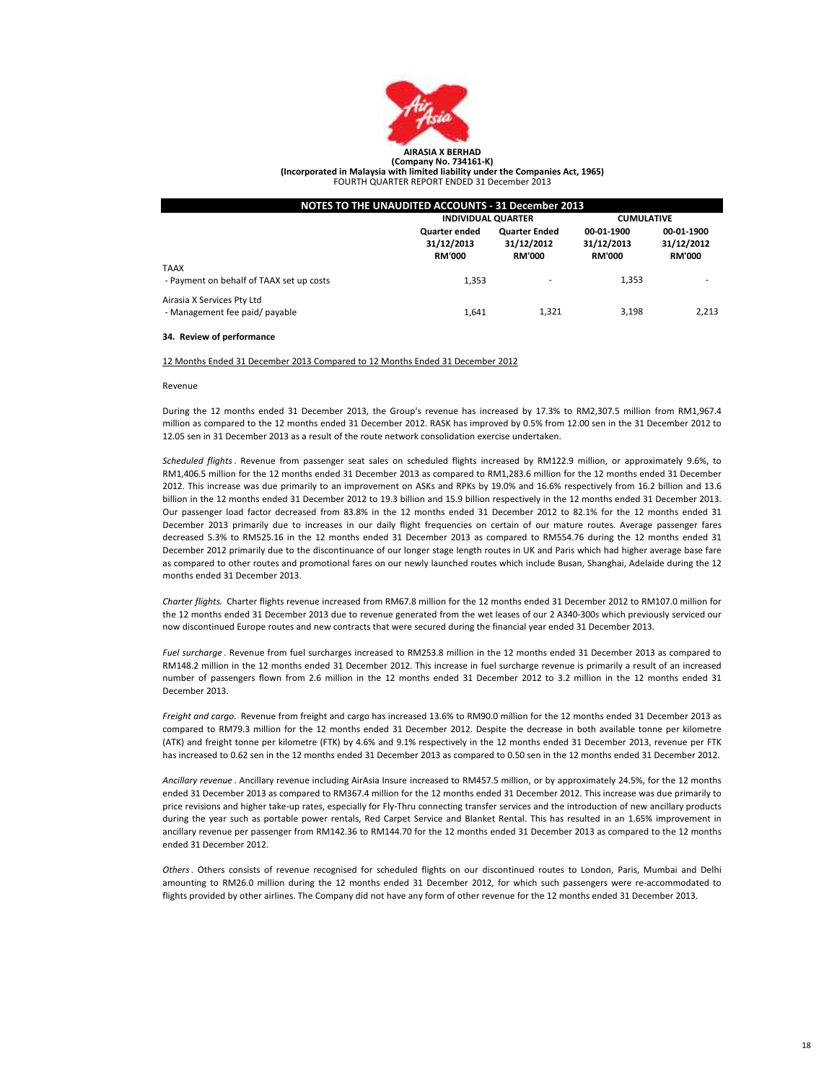

(Incorporated in Malaysia with limited liability under the Companies Act, 1965) FOURTH QUARTER REPORT ENDED 31 December 2013

| NOTES TO THE UNAUDITED ACCOUNTS - 31 December 2013           |                                                     |                                                     |                                           |                                           |  |
|--------------------------------------------------------------|-----------------------------------------------------|-----------------------------------------------------|-------------------------------------------|-------------------------------------------|--|
|                                                              | <b>INDIVIDUAL QUARTER</b>                           |                                                     | <b>CUMULATIVE</b>                         |                                           |  |
|                                                              | <b>Quarter ended</b><br>31/12/2013<br><b>RM'000</b> | <b>Quarter Ended</b><br>31/12/2012<br><b>RM'000</b> | 00-01-1900<br>31/12/2013<br><b>RM'000</b> | 00-01-1900<br>31/12/2012<br><b>RM'000</b> |  |
| <b>TAAX</b><br>- Payment on behalf of TAAX set up costs      | 1,353                                               |                                                     | 1.353                                     |                                           |  |
| Airasia X Services Pty Ltd<br>- Management fee paid/ payable | 1.641                                               | 1.321                                               | 3.198                                     | 2.213                                     |  |

#### 34. Review of performance

#### 12 Months Ended 31 December 2013 Compared to 12 Months Ended 31 December 2012

#### Revenue

During the 12 months ended 31 December 2013, the Group's revenue has increased by 17.3% to RM2,307.5 million from RM1,967.4 million as compared to the 12 months ended 31 December 2012. RASK has improved by 0.5% from 12.00 sen in the 31 December 2012 to 12.05 sen in 31 December 2013 as a result of the route network consolidation exercise undertaken.

Scheduled flights. Revenue from passenger seat sales on scheduled flights increased by RM122.9 million, or approximately 9.6%, to RM1,406.5 million for the 12 months ended 31 December 2013 as compared to RM1,283.6 million for the 12 months ended 31 December 2012. This increase was due primarily to an improvement on ASKs and RPKs by 19.0% and 16.6% respectively from 16.2 billion and 13.6 billion in the 12 months ended 31 December 2012 to 19.3 billion and 15.9 billion respectively in the 12 months ended 31 December 2013. Our passenger load factor decreased from 83.8% in the 12 months ended 31 December 2012 to 82.1% for the 12 months ended 31 December 2013 primarily due to increases in our daily flight frequencies on certain of our mature routes. Average passenger fares decreased 5.3% to RM525.16 in the 12 months ended 31 December 2013 as compared to RM554.76 during the 12 months ended 31 December 2012 primarily due to the discontinuance of our longer stage length routes in UK and Paris which had higher average base fare as compared to other routes and promotional fares on our newly launched routes which include Busan, Shanghai, Adelaide during the 12 months ended 31 December 2013.

Charter flights. Charter flights revenue increased from RM67.8 million for the 12 months ended 31 December 2012 to RM107.0 million for the 12 months ended 31 December 2013 due to revenue generated from the wet leases of our 2 A340-300s which previously serviced our now discontinued Europe routes and new contracts that were secured during the financial year ended 31 December 2013.

Fuel surcharge . Revenue from fuel surcharges increased to RM253.8 million in the 12 months ended 31 December 2013 as compared to RM148.2 million in the 12 months ended 31 December 2012. This increase in fuel surcharge revenue is primarily a result of an increased number of passengers flown from 2.6 million in the 12 months ended 31 December 2012 to 3.2 million in the 12 months ended 31 December 2013.

Freight and cargo. Revenue from freight and cargo has increased 13.6% to RM90.0 million for the 12 months ended 31 December 2013 as compared to RM79.3 million for the 12 months ended 31 December 2012. Despite the decrease in both available tonne per kilometre (ATK) and freight tonne per kilometre (FTK) by 4.6% and 9.1% respectively in the 12 months ended 31 December 2013, revenue per FTK has increased to 0.62 sen in the 12 months ended 31 December 2013 as compared to 0.50 sen in the 12 months ended 31 December 2012.

Ancillary revenue . Ancillary revenue including AirAsia Insure increased to RM457.5 million, or by approximately 24.5%, for the 12 months ended 31 December 2013 as compared to RM367.4 million for the 12 months ended 31 December 2012. This increase was due primarily to price revisions and higher take-up rates, especially for Fly-Thru connecting transfer services and the introduction of new ancillary products during the year such as portable power rentals, Red Carpet Service and Blanket Rental. This has resulted in an 1.65% improvement in ancillary revenue per passenger from RM142.36 to RM144.70 for the 12 months ended 31 December 2013 as compared to the 12 months ended 31 December 2012.

Others. Others consists of revenue recognised for scheduled flights on our discontinued routes to London, Paris, Mumbai and Delhi amounting to RM26.0 million during the 12 months ended 31 December 2012, for which such passengers were re-accommodated to flights provided by other airlines. The Company did not have any form of other revenue for the 12 months ended 31 December 2013.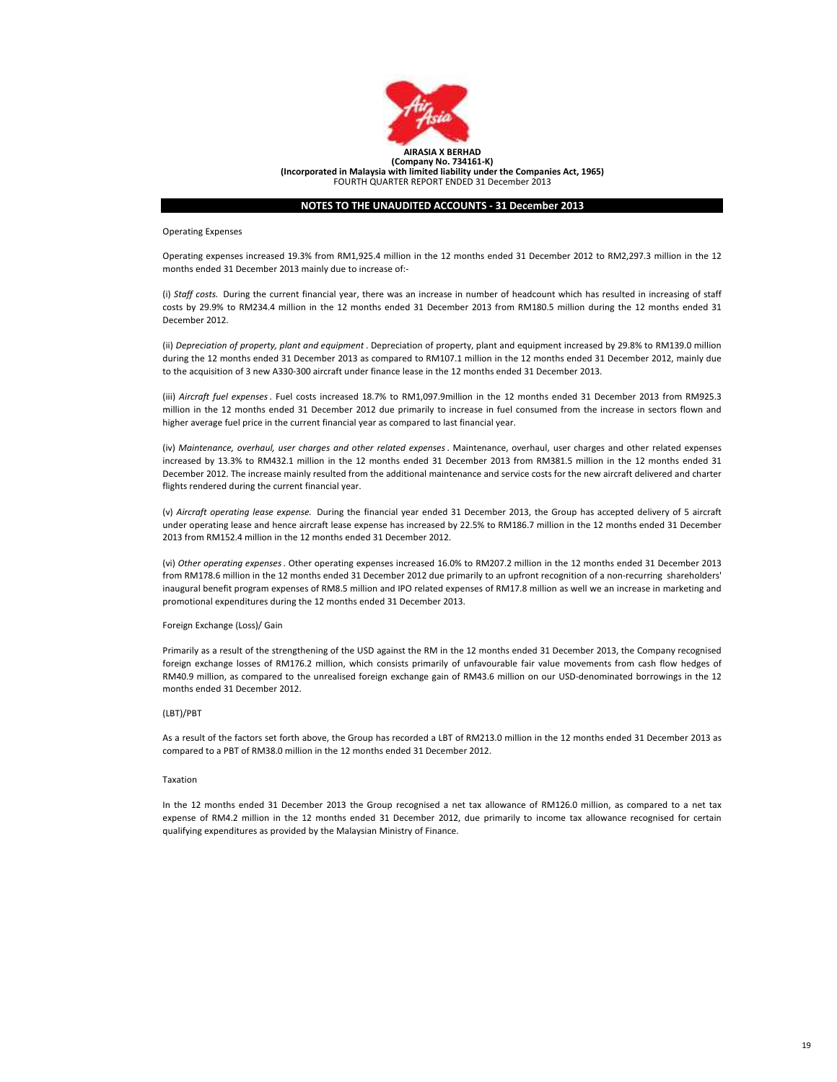

Operating Expenses

Operating expenses increased 19.3% from RM1,925.4 million in the 12 months ended 31 December 2012 to RM2,297.3 million in the 12 months ended 31 December 2013 mainly due to increase of:-

(i) Staff costs. During the current financial year, there was an increase in number of headcount which has resulted in increasing of staff costs by 29.9% to RM234.4 million in the 12 months ended 31 December 2013 from RM180.5 million during the 12 months ended 31 December 2012.

(ii) Depreciation of property, plant and equipment . Depreciation of property, plant and equipment increased by 29.8% to RM139.0 million during the 12 months ended 31 December 2013 as compared to RM107.1 million in the 12 months ended 31 December 2012, mainly due to the acquisition of 3 new A330-300 aircraft under finance lease in the 12 months ended 31 December 2013.

(iii) Aircraft fuel expenses. Fuel costs increased 18.7% to RM1,097.9million in the 12 months ended 31 December 2013 from RM925.3 million in the 12 months ended 31 December 2012 due primarily to increase in fuel consumed from the increase in sectors flown and higher average fuel price in the current financial year as compared to last financial year.

(iv) Maintenance, overhaul, user charges and other related expenses. Maintenance, overhaul, user charges and other related expenses increased by 13.3% to RM432.1 million in the 12 months ended 31 December 2013 from RM381.5 million in the 12 months ended 31 December 2012. The increase mainly resulted from the additional maintenance and service costs for the new aircraft delivered and charter flights rendered during the current financial year.

(v) Aircraft operating lease expense. During the financial year ended 31 December 2013, the Group has accepted delivery of 5 aircraft under operating lease and hence aircraft lease expense has increased by 22.5% to RM186.7 million in the 12 months ended 31 December 2013 from RM152.4 million in the 12 months ended 31 December 2012.

(vi) Other operating expenses. Other operating expenses increased 16.0% to RM207.2 million in the 12 months ended 31 December 2013 from RM178.6 million in the 12 months ended 31 December 2012 due primarily to an upfront recognition of a non-recurring shareholders' inaugural benefit program expenses of RM8.5 million and IPO related expenses of RM17.8 million as well we an increase in marketing and promotional expenditures during the 12 months ended 31 December 2013.

#### Foreign Exchange (Loss)/ Gain

Primarily as a result of the strengthening of the USD against the RM in the 12 months ended 31 December 2013, the Company recognised foreign exchange losses of RM176.2 million, which consists primarily of unfavourable fair value movements from cash flow hedges of RM40.9 million, as compared to the unrealised foreign exchange gain of RM43.6 million on our USD-denominated borrowings in the 12 months ended 31 December 2012.

#### (LBT)/PBT

As a result of the factors set forth above, the Group has recorded a LBT of RM213.0 million in the 12 months ended 31 December 2013 as compared to a PBT of RM38.0 million in the 12 months ended 31 December 2012.

## Taxation

In the 12 months ended 31 December 2013 the Group recognised a net tax allowance of RM126.0 million, as compared to a net tax expense of RM4.2 million in the 12 months ended 31 December 2012, due primarily to income tax allowance recognised for certain qualifying expenditures as provided by the Malaysian Ministry of Finance.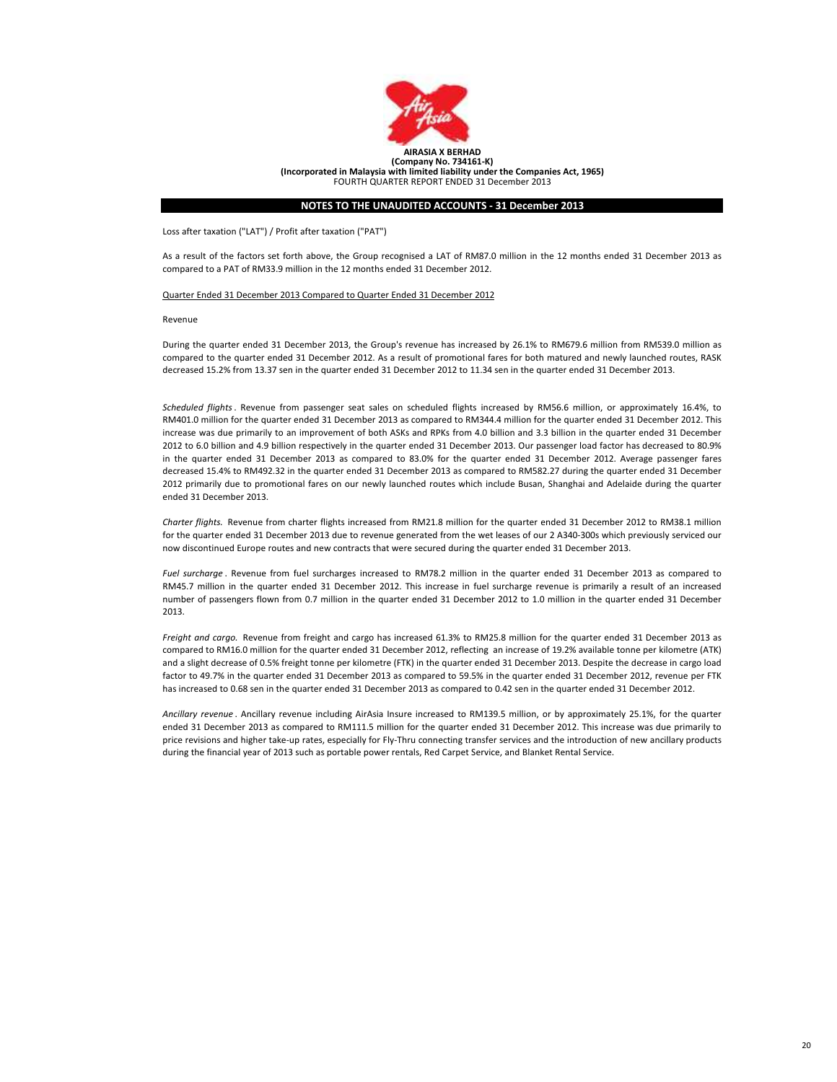

Loss after taxation ("LAT") / Profit after taxation ("PAT")

As a result of the factors set forth above, the Group recognised a LAT of RM87.0 million in the 12 months ended 31 December 2013 as compared to a PAT of RM33.9 million in the 12 months ended 31 December 2012.

#### Quarter Ended 31 December 2013 Compared to Quarter Ended 31 December 2012

Revenue

During the quarter ended 31 December 2013, the Group's revenue has increased by 26.1% to RM679.6 million from RM539.0 million as compared to the quarter ended 31 December 2012. As a result of promotional fares for both matured and newly launched routes, RASK decreased 15.2% from 13.37 sen in the quarter ended 31 December 2012 to 11.34 sen in the quarter ended 31 December 2013.

Scheduled flights. Revenue from passenger seat sales on scheduled flights increased by RM56.6 million, or approximately 16.4%, to RM401.0 million for the quarter ended 31 December 2013 as compared to RM344.4 million for the quarter ended 31 December 2012. This increase was due primarily to an improvement of both ASKs and RPKs from 4.0 billion and 3.3 billion in the quarter ended 31 December 2012 to 6.0 billion and 4.9 billion respectively in the quarter ended 31 December 2013. Our passenger load factor has decreased to 80.9% in the quarter ended 31 December 2013 as compared to 83.0% for the quarter ended 31 December 2012. Average passenger fares decreased 15.4% to RM492.32 in the quarter ended 31 December 2013 as compared to RM582.27 during the quarter ended 31 December 2012 primarily due to promotional fares on our newly launched routes which include Busan, Shanghai and Adelaide during the quarter ended 31 December 2013.

Charter flights. Revenue from charter flights increased from RM21.8 million for the quarter ended 31 December 2012 to RM38.1 million for the quarter ended 31 December 2013 due to revenue generated from the wet leases of our 2 A340-300s which previously serviced our now discontinued Europe routes and new contracts that were secured during the quarter ended 31 December 2013.

Fuel surcharge . Revenue from fuel surcharges increased to RM78.2 million in the quarter ended 31 December 2013 as compared to RM45.7 million in the quarter ended 31 December 2012. This increase in fuel surcharge revenue is primarily a result of an increased number of passengers flown from 0.7 million in the quarter ended 31 December 2012 to 1.0 million in the quarter ended 31 December 2013.

Freight and cargo. Revenue from freight and cargo has increased 61.3% to RM25.8 million for the quarter ended 31 December 2013 as compared to RM16.0 million for the quarter ended 31 December 2012, reflecting an increase of 19.2% available tonne per kilometre (ATK) and a slight decrease of 0.5% freight tonne per kilometre (FTK) in the quarter ended 31 December 2013. Despite the decrease in cargo load factor to 49.7% in the quarter ended 31 December 2013 as compared to 59.5% in the quarter ended 31 December 2012, revenue per FTK has increased to 0.68 sen in the quarter ended 31 December 2013 as compared to 0.42 sen in the quarter ended 31 December 2012.

Ancillary revenue . Ancillary revenue including AirAsia Insure increased to RM139.5 million, or by approximately 25.1%, for the quarter ended 31 December 2013 as compared to RM111.5 million for the quarter ended 31 December 2012. This increase was due primarily to price revisions and higher take-up rates, especially for Fly-Thru connecting transfer services and the introduction of new ancillary products during the financial year of 2013 such as portable power rentals, Red Carpet Service, and Blanket Rental Service.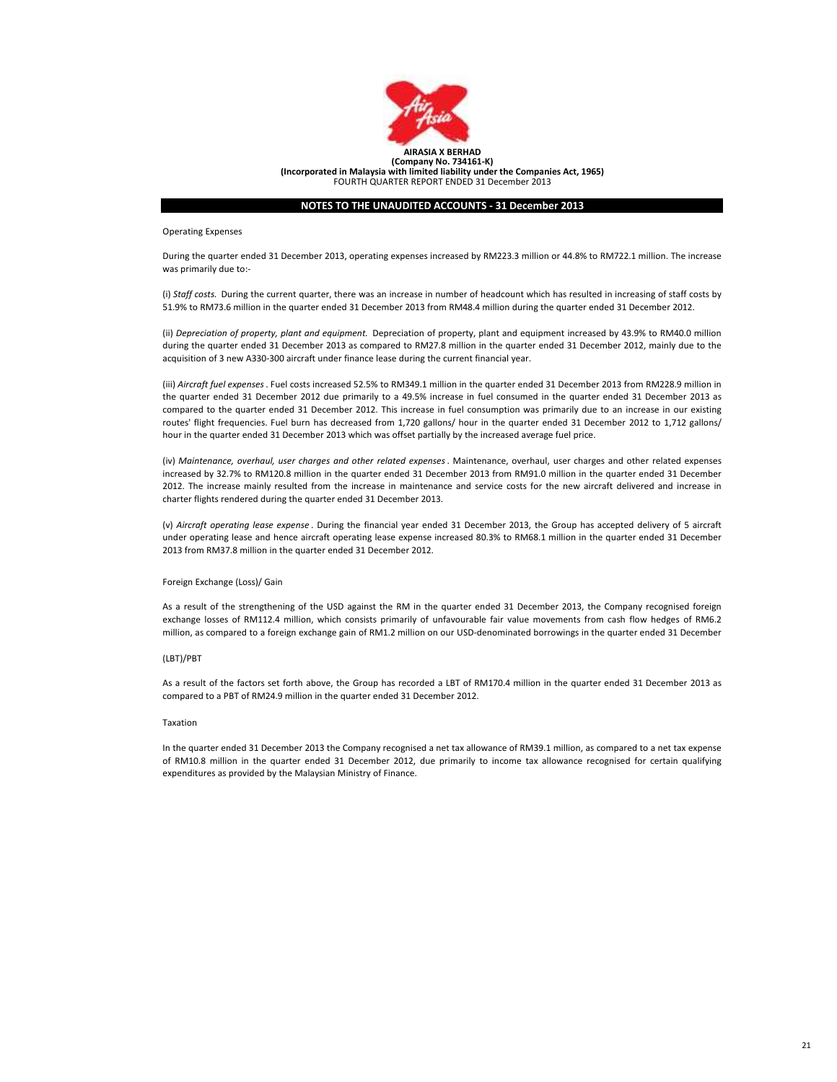

Operating Expenses

During the quarter ended 31 December 2013, operating expenses increased by RM223.3 million or 44.8% to RM722.1 million. The increase was primarily due to:-

(i) Staff costs. During the current quarter, there was an increase in number of headcount which has resulted in increasing of staff costs by 51.9% to RM73.6 million in the quarter ended 31 December 2013 from RM48.4 million during the quarter ended 31 December 2012.

(ii) Depreciation of property, plant and equipment. Depreciation of property, plant and equipment increased by 43.9% to RM40.0 million during the quarter ended 31 December 2013 as compared to RM27.8 million in the quarter ended 31 December 2012, mainly due to the acquisition of 3 new A330-300 aircraft under finance lease during the current financial year.

(iii) Aircraft fuel expenses. Fuel costs increased 52.5% to RM349.1 million in the quarter ended 31 December 2013 from RM228.9 million in the quarter ended 31 December 2012 due primarily to a 49.5% increase in fuel consumed in the quarter ended 31 December 2013 as compared to the quarter ended 31 December 2012. This increase in fuel consumption was primarily due to an increase in our existing routes' flight frequencies. Fuel burn has decreased from 1,720 gallons/ hour in the quarter ended 31 December 2012 to 1,712 gallons/ hour in the quarter ended 31 December 2013 which was offset partially by the increased average fuel price.

(iv) Maintenance, overhaul, user charges and other related expenses. Maintenance, overhaul, user charges and other related expenses increased by 32.7% to RM120.8 million in the quarter ended 31 December 2013 from RM91.0 million in the quarter ended 31 December 2012. The increase mainly resulted from the increase in maintenance and service costs for the new aircraft delivered and increase in charter flights rendered during the quarter ended 31 December 2013.

(v) Aircraft operating lease expense . During the financial year ended 31 December 2013, the Group has accepted delivery of 5 aircraft under operating lease and hence aircraft operating lease expense increased 80.3% to RM68.1 million in the quarter ended 31 December 2013 from RM37.8 million in the quarter ended 31 December 2012.

#### Foreign Exchange (Loss)/ Gain

As a result of the strengthening of the USD against the RM in the quarter ended 31 December 2013, the Company recognised foreign exchange losses of RM112.4 million, which consists primarily of unfavourable fair value movements from cash flow hedges of RM6.2 million, as compared to a foreign exchange gain of RM1.2 million on our USD-denominated borrowings in the quarter ended 31 December

#### (LBT)/PBT

As a result of the factors set forth above, the Group has recorded a LBT of RM170.4 million in the quarter ended 31 December 2013 as compared to a PBT of RM24.9 million in the quarter ended 31 December 2012.

#### Taxation

In the quarter ended 31 December 2013 the Company recognised a net tax allowance of RM39.1 million, as compared to a net tax expense of RM10.8 million in the quarter ended 31 December 2012, due primarily to income tax allowance recognised for certain qualifying expenditures as provided by the Malaysian Ministry of Finance.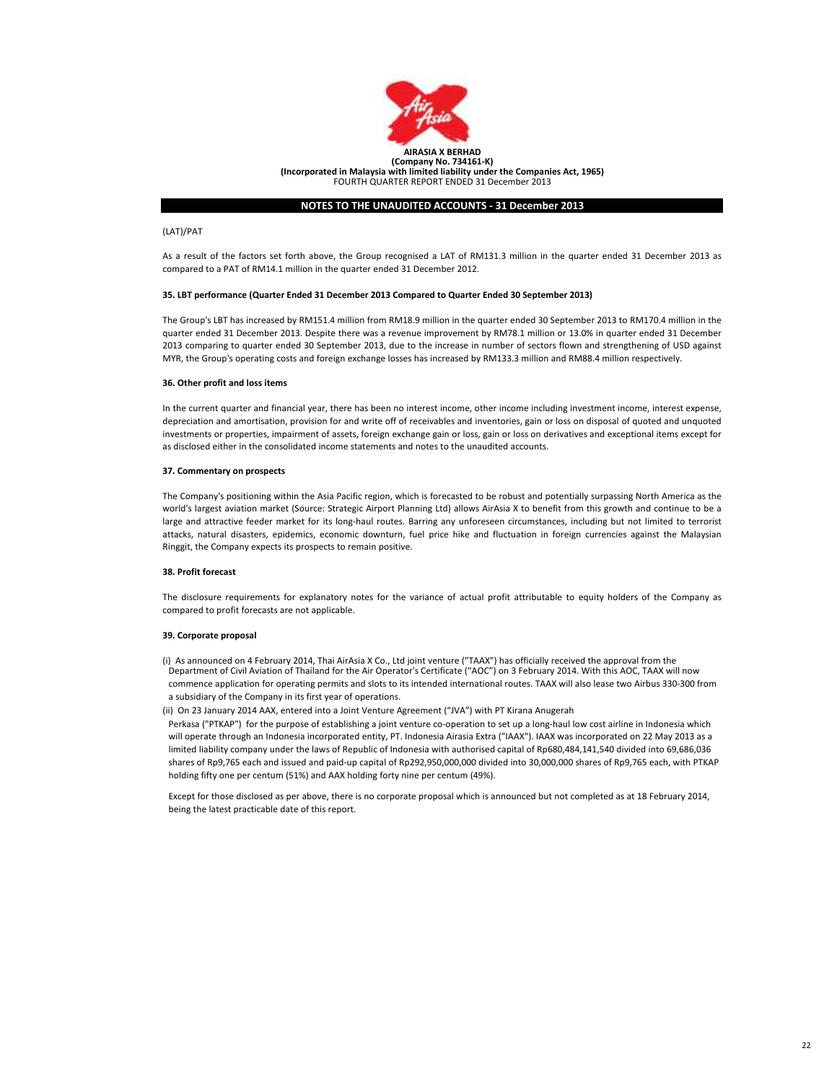

## (LAT)/PAT

As a result of the factors set forth above, the Group recognised a LAT of RM131.3 million in the quarter ended 31 December 2013 as compared to a PAT of RM14.1 million in the quarter ended 31 December 2012.

#### 35. LBT performance (Quarter Ended 31 December 2013 Compared to Quarter Ended 30 September 2013)

The Group's LBT has increased by RM151.4 million from RM18.9 million in the quarter ended 30 September 2013 to RM170.4 million in the quarter ended 31 December 2013. Despite there was a revenue improvement by RM78.1 million or 13.0% in quarter ended 31 December 2013 comparing to quarter ended 30 September 2013, due to the increase in number of sectors flown and strengthening of USD against MYR, the Group's operating costs and foreign exchange losses has increased by RM133.3 million and RM88.4 million respectively.

## 36. Other profit and loss items

In the current quarter and financial year, there has been no interest income, other income including investment income, interest expense, depreciation and amortisation, provision for and write off of receivables and inventories, gain or loss on disposal of quoted and unquoted investments or properties, impairment of assets, foreign exchange gain or loss, gain or loss on derivatives and exceptional items except for as disclosed either in the consolidated income statements and notes to the unaudited accounts.

#### 37. Commentary on prospects

The Company's positioning within the Asia Pacific region, which is forecasted to be robust and potentially surpassing North America as the world's largest aviation market (Source: Strategic Airport Planning Ltd) allows AirAsia X to benefit from this growth and continue to be a large and attractive feeder market for its long-haul routes. Barring any unforeseen circumstances, including but not limited to terrorist attacks, natural disasters, epidemics, economic downturn, fuel price hike and fluctuation in foreign currencies against the Malaysian Ringgit, the Company expects its prospects to remain positive.

#### 38. Profit forecast

The disclosure requirements for explanatory notes for the variance of actual profit attributable to equity holders of the Company as compared to profit forecasts are not applicable.

### 39. Corporate proposal

- (i) As announced on 4 February 2014, Thai AirAsia X Co., Ltd joint venture ("TAAX") has officially received the approval from the Department of Civil Aviation of Thailand for the Air Operator's Certificate ("AOC") on 3 February 2014. With this AOC, TAAX will now commence application for operating permits and slots to its intended international routes. TAAX will also lease two Airbus 330-300 from a subsidiary of the Company in its first year of operations.
- (ii) On 23 January 2014 AAX, entered into a Joint Venture Agreement ("JVA") with PT Kirana Anugerah

Perkasa ("PTKAP") for the purpose of establishing a joint venture co-operation to set up a long-haul low cost airline in Indonesia which will operate through an Indonesia incorporated entity, PT. Indonesia Airasia Extra ("IAAX"). IAAX was incorporated on 22 May 2013 as a limited liability company under the laws of Republic of Indonesia with authorised capital of Rp680,484,141,540 divided into 69,686,036 shares of Rp9,765 each and issued and paid-up capital of Rp292,950,000,000 divided into 30,000,000 shares of Rp9,765 each, with PTKAP holding fifty one per centum (51%) and AAX holding forty nine per centum (49%).

Except for those disclosed as per above, there is no corporate proposal which is announced but not completed as at 18 February 2014, being the latest practicable date of this report.